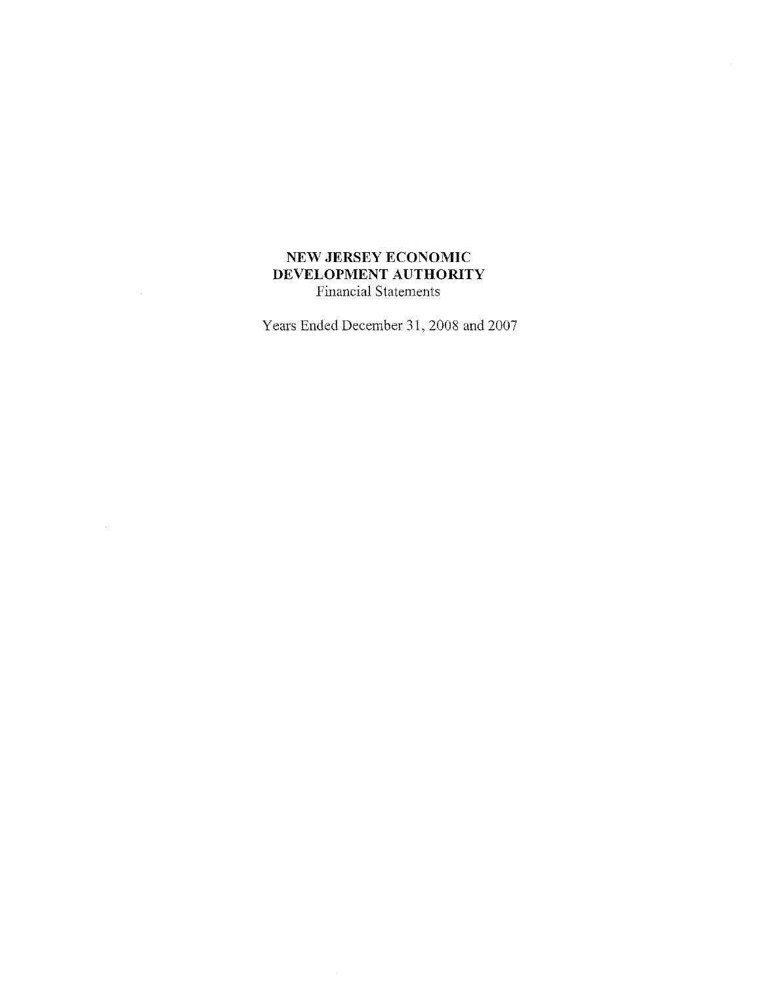# NEW JERSEY ECONOMIC DEVELOPMENT AUTHORiTY Financial Statements

Years Ended December 31, 2008 and 2007

 $\hat{\boldsymbol{\beta}}$ 

 $\sim 10^{-1}$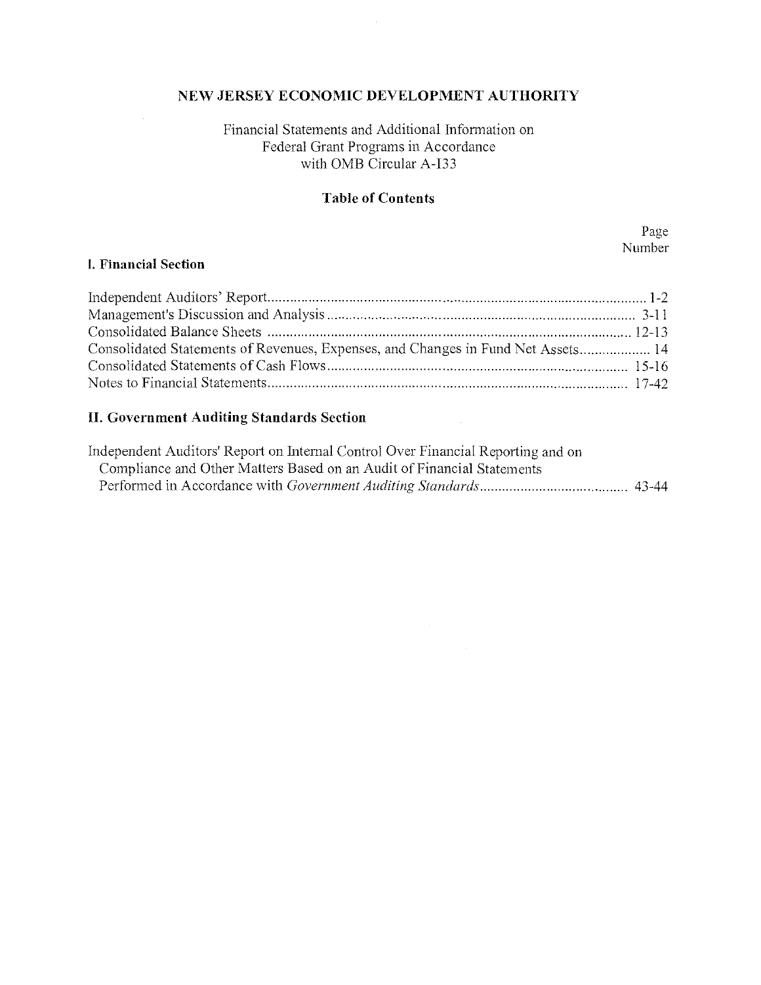# NEW JERSEY ECONOMIC DEVELOPMENT AUTHORITY

 $\sim 10^6$ 

## Financial Statements and Additional Information on Federal Grant Programs in Accordance with 0MB Circular A-133

## **Table of Contents**

Page Number

## I. Financial Section

| Consolidated Statements of Revenues, Expenses, and Changes in Fund Net Assets 14 |  |
|----------------------------------------------------------------------------------|--|
|                                                                                  |  |
|                                                                                  |  |

# II. Government Auditing Standards Section

| Independent Auditors' Report on Internal Control Over Financial Reporting and on |  |
|----------------------------------------------------------------------------------|--|
| Compliance and Other Matters Based on an Audit of Financial Statements           |  |
|                                                                                  |  |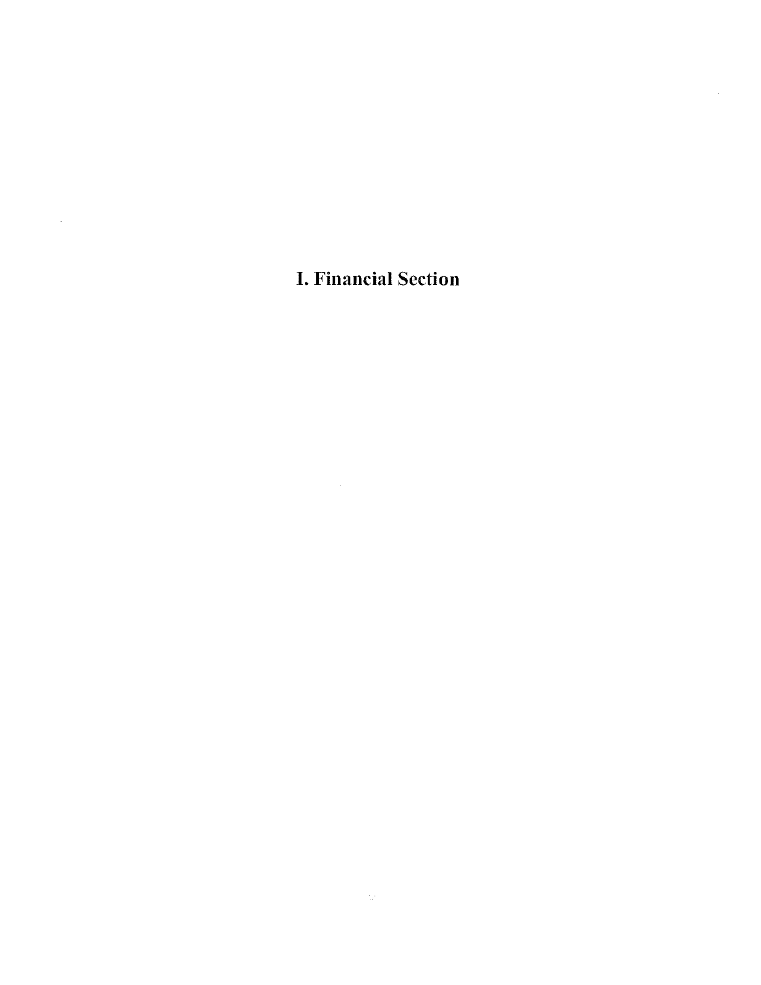I. Financial Section

 $\sim$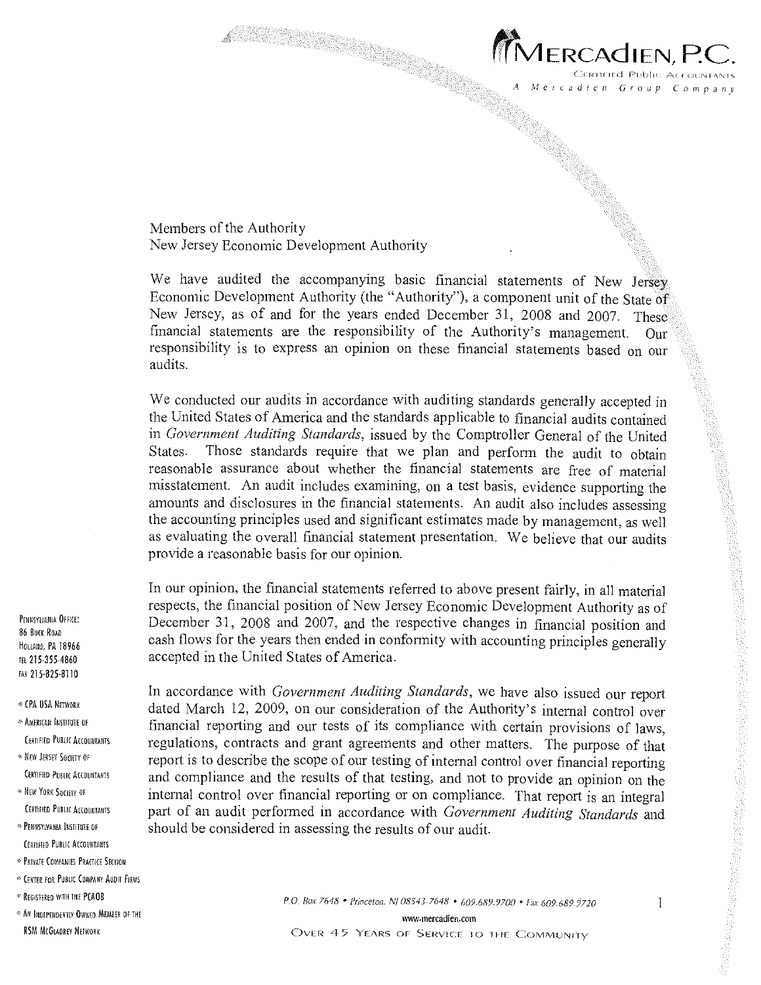

Mercadien Group Company

Members of the Authority New Jersey Economic Development Authority

We have audited the accompanying basic financial statements of New Jersey Economic Development Authority (the "Authority"), a component unit of the State of New Jersey, as of and for the years ended December 31, 2008 and 2007. These financial statements are the responsibility of the Authority's management. Out responsibility is to express an opinion on these financial statements based on our audits.

We conducted our audits in accordance with auditing standards generally accepted in the United States of America and the standards applicable to financial audits contained in Government Auditing Standards, issued by the Comptroller General of the United States. Those standards require that we plan and perform the audit to obtain Those standards require that we plan and perform the audit to obtain reasonable assurance about whether the financial statements are free of material misstatement. An audit includes examining, on a test basis, evidence supporting the amounts and disclosures in the financial statements. An audit also includes assessing the accounting principles used and significant estimates made by management, as well as evaluating the overall financial statement presentation. We believe that our audits provide a reasonable basis for our opinion.

In our opinion, the financial statements referred to above present fairly, in all material respects, the financial position of New Jersey Economic Development Authority as of December 31, 2008 and 2007, and the respective changes in financial position and PEN NSYLMANIA OFFICE:<br>86 BUCK ROAD<br>HOLLAND, PA 18966 cash flows for the years then ended in conformity with accounting principles generally m 215.355.4860 accepted in the United States of America.

In accordance with Government Auditing Standards, we have also issued our report \* CPA USA NETWORK<br>
\* AMERICAN INSTITUTE OF STRAINING TO A CONSIDER THE ALLY CONTROL OF THE AUTHORITY'S internal control over AMERICAN INSTITUTE OF financial reporting and our tests of its compliance with certain provisions of laws, CERTIFIED PUBLIC ACCOUNTANTS regulations, contracts and grant agreements and other matters. The purpose of that  $\frac{1}{\sqrt{N}}$  is to describe the scope of our toting of intermed central serves. NEW JERSEY SOCIETY OF report is to describe the scope of our testing of internal control over financial reporting<br>CERTIFIED PUBLIC ACCOUNTANTS and communicance and the results of that testing and not to provide an opinion ERTIFIED PUBLIC ACCOUNTANTS and compliance and the results of that testing, and not to provide an opinion on the <br>\* NEW YORK SOCIETY OF internal control over financial reporting or on compliance. That report is an integral NEW YORK SOCIETY OF internal control over financial reporting or on compliance. That report is an integral (ERTIFIED PUBLIC ACCOUNTANTS part of an audit performed in accordance with Government Auditing Standards and should be considered in assessing the results of our audit.

FAX 215-825-8110

- 
- 
- 
- 
- 
- CERTIFIED PUBLIC ACCOUNTANTS
- <sup>®</sup> PRIVATE COMPANIES PRACTICE SECTION
- <sup>®</sup> CENTER FOR PUBLIC COMPANY AUDIT FIRMS
- 
- 

\* REGISTERED WITH THE PCAOB **CONTACT PERIODE P.O.** Box 7648 • Princeton, NJ 08543-7648 • 609.689.9700 • Fax 609.689.9720 <sup>\*</sup> AN INDEPENDENTLY OWNED MEMBER OF THE<br>
SUPPORT THE WWW.mercadien.com RSM MCGLADREY NETWORK **Internal Community** (State 45 Years of Service to the Community

 $\mathbf{1}$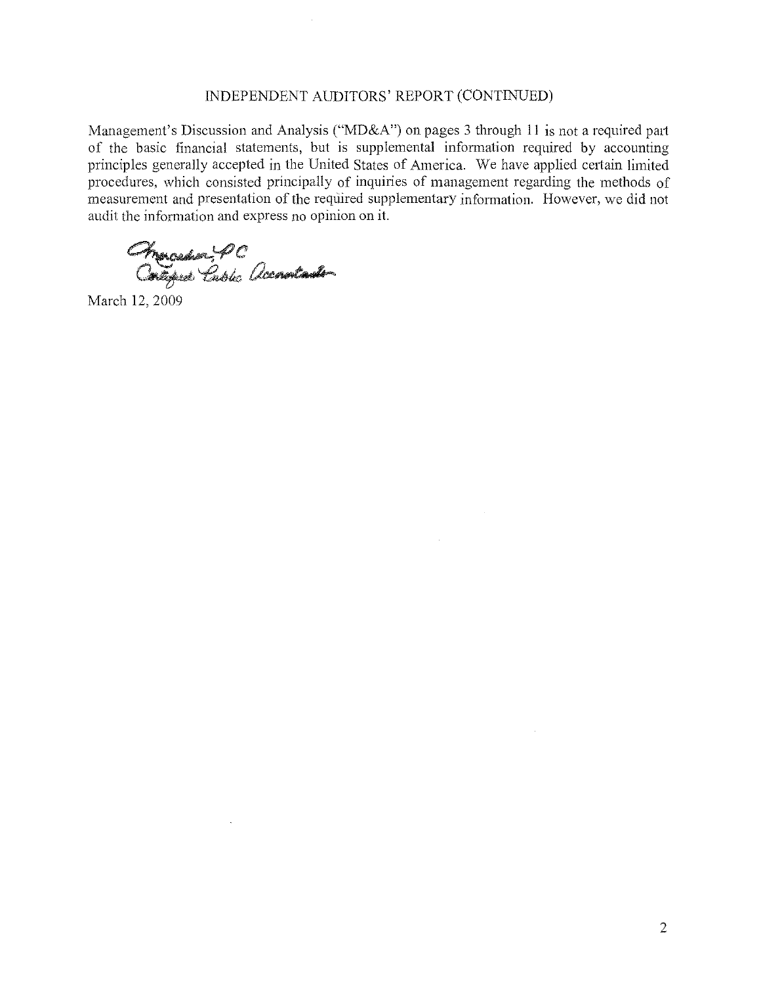## INDEPENDENT AUDITORS' REPORT (CONTINUED)

Management's Discussion and Analysis ("MD&A") on pages 3 through 11 is not a required part of the basic financial statements, but is supplemental information required by accounting principles generally accepted in the United States of America. We have applied certain limited procedures, which consisted principally of inquiries of management regarding the methods of measurement and presentation of the required supplementary information. However, we did not audit the information and express no opinion on it.

 $\hat{\mathcal{A}}$ 

Chrondier, PC<br>Contiguer Cubbe Accordante

March 12, 2009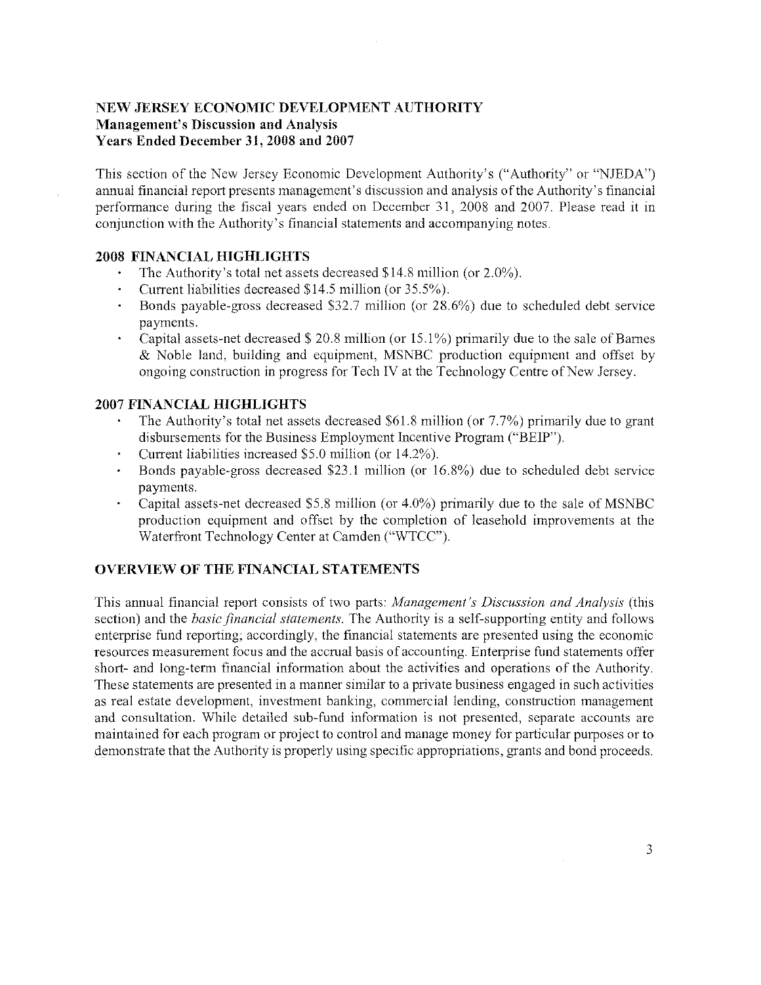## NEW JERSEY ECONOMIC DEVELOPMENT AUTHORITY Management's Discussion and Analysis Years Ended December 31, 2008 and 2007

This section of the New Jersey Economic Devdopment Authority's ("Authority" or "NJEDA") annual financial report presents management's discussion and analysis of the Authority's financial performance during the fiscal years ended on December 31, 2008 and 2007. Please read it in conjunction with the Authority's financial statements and accompanying notes.

## 2008 FINANCIAL HIGHLIGHTS

- The Authority's total net assets decreased  $$14.8$  million (or 2.0%).
- Current liabilities decreased \$14.5 million (or 35.5%).
- Bonds payable-gross decreased \$32.7 million (or 28.6%) due to scheduled debt service payments.
- Capital assets-net decreased  $$20.8$  million (or 15.1%) primarily due to the sale of Barnes & Noble land, building and equipment, MSNBC production equipment and offset by ongoing construction in progress for Tech TV at the Technology Centre of New Jersey.

## 2007 FINANCIAL HIGHLIGHTS

- The Authority's total net assets decreased \$61.8 million (or 7.7%) primarily due to grant disbursements for the Business Employment Incentive Program ("BEIP").
- Current liabilities increased \$5.0 million (or 14.2%).
- Bonds payable-gross decreased \$23.1 million (or 16.8%) due to scheduled debt service payments.
- Capital assets-net decreased  $$5.8$  million (or 4.0%) primarily due to the sale of MSNBC production equipment and offset by the completion of leasehold improvements at the Waterfront Technology Center at Camden ("WTCC").

## OVERVIEW OF THE FINANCIAL STATEMENTS

This annual financial report consists of two parts: Management's Discussion and Analysis (this section) and the *basic financial statements*. The Authority is a self-supporting entity and follows enterprise fund reporting; accordingly, the financial statements are presented using the economic resources measurement focus and the accrual basis of accounting. Enterprise fund statements offer short- and long-term financial information about the activities and operations of the Authority. These statements are presented in a manner similar to a private business engaged in such activities as real estate development, investment banking, commercial lending, construction management and consultation. While detailed sub-fund information is not presented, separate accounts are maintained for each program or project to control and manage money for particular purposes or to demonstrate that the Authority is properly using specific appropriations, grants and bond proceeds.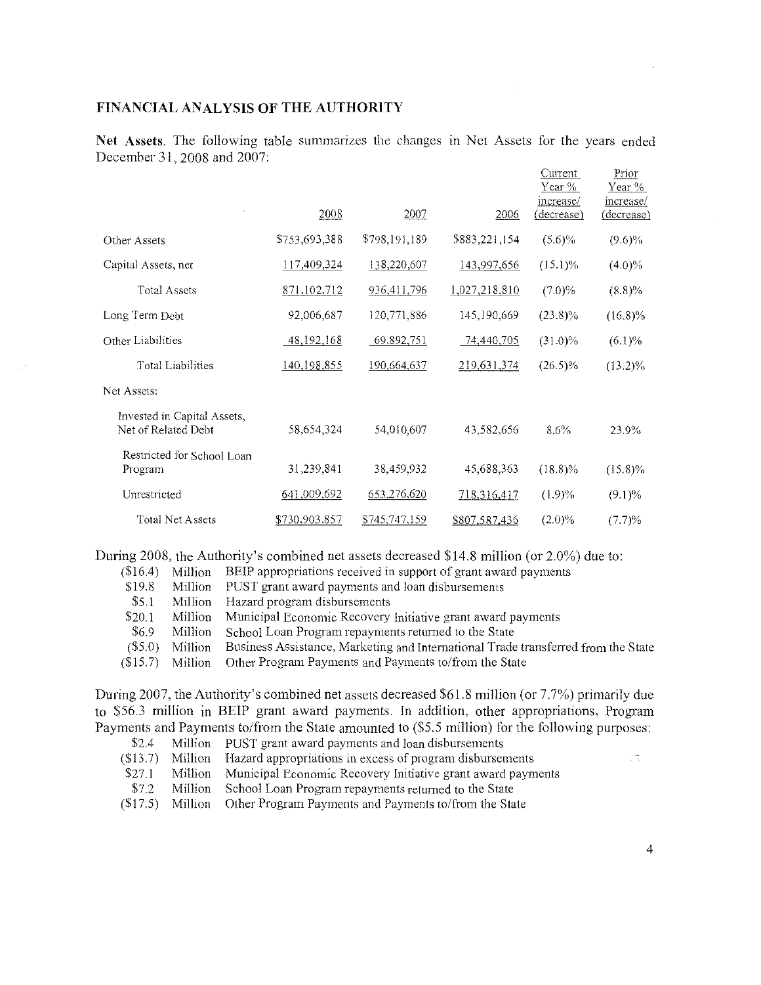### FINANCIAL ANALYSIS OF THE AUTHORITY

|                                                    | 2008                 | 2007          | 2006              | Current<br>Year %<br>increase/<br>(decrease) | Prior<br>Year %<br>increase/<br>(decrease) |  |
|----------------------------------------------------|----------------------|---------------|-------------------|----------------------------------------------|--------------------------------------------|--|
| Other Assets                                       | \$753,693,388        | \$798,191,189 | \$883,221,154     | $(5.6)\%$                                    | $(9.6)\%$                                  |  |
| Capital Assets, net                                | 117,409,324          | 138,220,607   | 143,997,656       | $(15.1)\%$                                   | $(4.0)\%$                                  |  |
| <b>Total Assets</b>                                | 871.102.712          | 936,411,796   | 1,027,218,810     | $(7.0)\%$                                    | $(8.8)\%$                                  |  |
| Long Term Debt                                     | 92,006,687           | 120,771,886   | 145,190,669       | $(23.8)\%$                                   | $(16.8)\%$                                 |  |
| Other Liabilities                                  | 48, 192, 168         | 69.892,751    | <u>74,440,705</u> | $(31.0)\%$                                   | (6.1)%                                     |  |
| <b>Total Liabilities</b>                           | 140, 198, 855        | 190,664,637   | 219,631,374       | $(26.5)\%$                                   | $(13.2)\%$                                 |  |
| Net Assets:                                        |                      |               |                   |                                              |                                            |  |
| Invested in Capital Assets,<br>Net of Related Debt | 58,654,324           | 54,010,607    | 43,582,656        | $8.6\%$                                      | 23.9%                                      |  |
| Restricted for School Loan<br>Program              | 31,239,841           | 38,459,932    | 45,688,363        | $(18.8)\%$                                   | $(15.8)\%$                                 |  |
| Unrestricted                                       | 641,009,692          | 653,276,620   | 718,316,417       | $(1.9)\%$                                    | $(9.1)\%$                                  |  |
| <b>Total Net Assets</b>                            | <u>\$730,903.857</u> | \$745,747,159 | \$807,587,436     | $(2.0)\%$                                    | (7.7)%                                     |  |

Net Assets. The following table summarizes the changes in Net Assets for the years ended Deceniber 31, 2008 and 2007:

During 2008, the Authority's combined net assets decreased \$14.8 million (or 20%) due to:

| (\$16.4) Million BEIP appropriations received in support of grant award payments |  |
|----------------------------------------------------------------------------------|--|
|----------------------------------------------------------------------------------|--|

- \$19.8 Million PUST grant award payments and loan disbursements
- \$5.1 Million Hazard program disbursements

\$20.1 Million Municipal Economic Recovery Initiative grant award payments

\$6.9 Million School Loan Program repayments returned to the State

(\$5.0) Million Business Assistance, Marketing and International Trade transferred from the State

(\$15.7) Million Other Program Payments and Payments to/from the State

During 2007, the Authority's combined net assets decreased \$61.8 million (or 77%) primarily due to \$56.3 million in BEIP grant award payments. In addition, other appropriations, Program Payments and Payments to/from the State amounted to (\$5.5 million) for the following purposes:

- \$2.4 Million PUST grant award payments and loan disbursements
- $(13.7)$  Million Hazard appropriations in excess of program disbursements
- \$27.1 Million Municipal Economic Recovery Initiative grant award payments
- \$7.2 Million School Loan Program repayments returned to the State

(\$17.5) Million Other Program Payments and Payments to/from the State

Ch.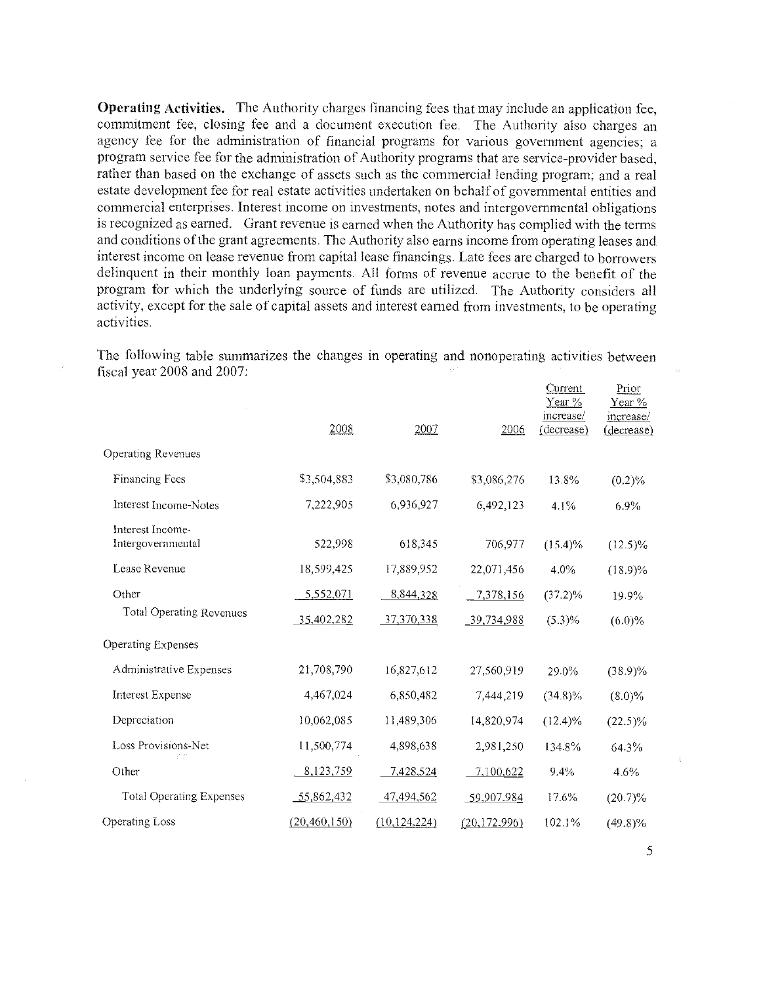Operating Activities. The Authority charges financing fees that may include an application fee, commitment fee, closing fee and a document execution fee. The Authority also charges an agency fee for the administration of financial programs for various government agencies; a program service fee for the administration of Authority programs that are service-provider based, rather than based on the exchange of assets such as the commercial lending program; and a real estate development fee for real estate activities undertaken on behalf of governmental entities and commercial enterprises. Interest income on investments, notes and intergovernmental obligations is recognized as earned. Grant revenue is earned when the Authority has complied with the terms and conditions of the grant agreements. The Authority also earns income from operating leases and interest income on lease revenue from capital lease financings. Late fees are charged to borrowers delinquent in their monthly loan payments. All forms of revenue accrue to the benefit of the program for which the underlying source of funds are utilized. The Authority considers all activity, except for the sale of capital assets and interest earned from investments, to he operating activities,

The following table summarizes the changes in operating and nonoperating activities between fiscal year 2008 and 2007:

|                                       | 2008           | 2007           | 2006          | Current<br>Year %<br>increase/<br><u>(decrease)</u> | Prior<br>Year %<br>increase/<br>(decrease) |  |
|---------------------------------------|----------------|----------------|---------------|-----------------------------------------------------|--------------------------------------------|--|
| <b>Operating Revenues</b>             |                |                |               |                                                     |                                            |  |
| Financing Fees                        | \$3,504,883    | \$3,080,786    | \$3,086,276   | 13.8%                                               | $(0.2)\%$                                  |  |
| Interest Income-Notes                 | 7,222,905      | 6,936,927      | 6,492,123     | 4.1%                                                | 6.9%                                       |  |
| Interest Income-<br>Intergovernmental | 522,998        | 618,345        | 706,977       | $(15.4)\%$                                          | $(12.5)\%$                                 |  |
| Lease Revenue                         | 18,599,425     | 17,889,952     | 22,071,456    | 4.0%                                                | $(18.9)\%$                                 |  |
| Other                                 | 5,552,071      | 8,844,328      | $-7,378,156$  | $(37.2)\%$                                          | 19.9%                                      |  |
| <b>Total Operating Revenues</b>       | 35,402,282     | 37,370,338     | 39,734,988    | (5.3)%                                              | $(6.0)\%$                                  |  |
| <b>Operating Expenses</b>             |                |                |               |                                                     |                                            |  |
| Administrative Expenses               | 21,708,790     | 16,827,612     | 27,560,919    | 29.0%                                               | $(38.9)\%$                                 |  |
| <b>Interest Expense</b>               | 4,467,024      | 6,850,482      | 7,444,219     | $(34.8)\%$                                          | $(8.0)\%$                                  |  |
| Depreciation                          | 10,062,085     | 11,489,306     | 14,820,974    | $(12.4)\%$                                          | $(22.5)\%$                                 |  |
| Loss Provisions-Net<br>anto.          | 11,500,774     | 4,898,638      | 2,981,250     | 134.8%                                              | 64.3%                                      |  |
| Other                                 | 8,123,759      | 7,428,524      | 7,100,622     | 9.4%                                                | 4.6%                                       |  |
| <b>Total Operating Expenses</b>       | 55,862,432     | 47,494,562     | 59,907.984    | 17.6%                                               | (20.7)%                                    |  |
| Operating Loss                        | (20, 460, 150) | (10, 124, 224) | (20, 172.996) | 102.1%                                              | $(49.8)\%$                                 |  |

5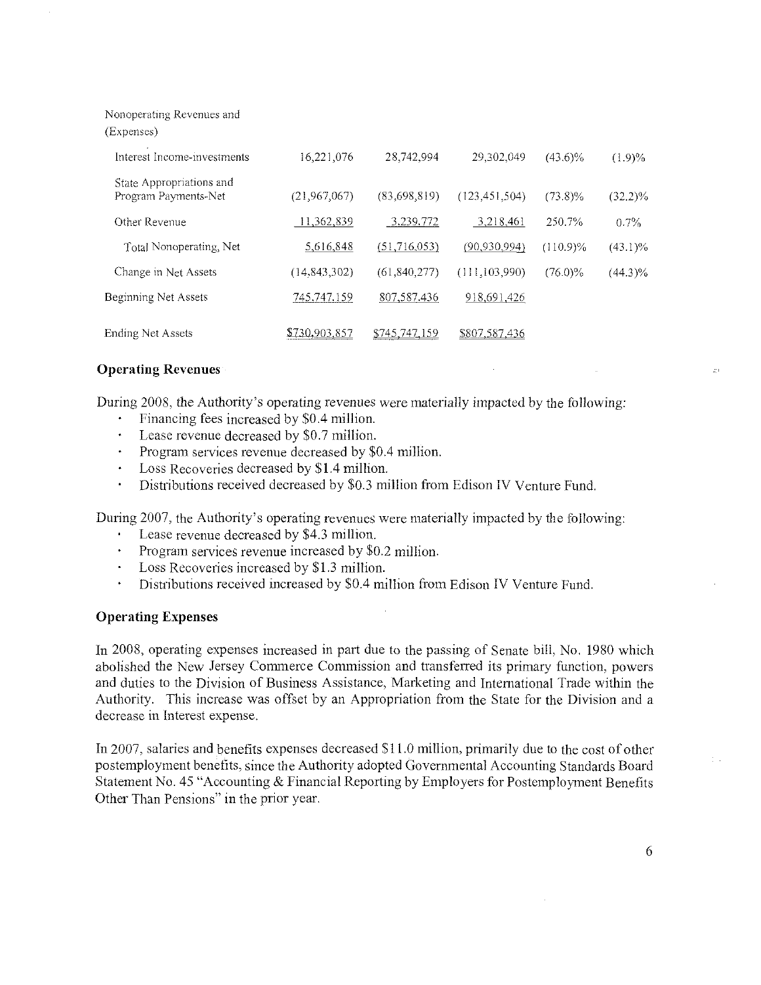| Nonoperating Revenues and<br>(Expenses)          |                      |                |                 |             |            |  |
|--------------------------------------------------|----------------------|----------------|-----------------|-------------|------------|--|
| Interest Income-investments                      | 16.221,076           | 28,742,994     | 29,302,049      | $(43.6)\%$  | $(1.9)\%$  |  |
| State Appropriations and<br>Program Payments-Net | (21,967,067)         | (83,698,819)   | (123, 451, 504) | $(73.8)\%$  | $(32,2)\%$ |  |
| Other Revenue                                    | 11,362,839           | 3.239.772      | 3.218.461       | 250.7%      | 0.7%       |  |
| Total Nonoperating, Net                          | 5,616,848            | (51,716,053)   | (90, 930, 994)  | $(110.9)\%$ | $(43.1)\%$ |  |
| Change in Net Assets                             | (14, 843, 302)       | (61, 840, 277) | (111, 103, 990) | $(76.0)\%$  | $(44.3)\%$ |  |
| Beginning Net Assets                             | 745,747,159          | 807,587.436    | 918,691,426     |             |            |  |
| Ending Net Assets                                | <u>\$730,903.857</u> | \$745,747,159  | \$807,587,436   |             |            |  |

## Operating Revenues

During 2008, the Authority's operating revenues were materially impacted by the following:

- Financing fees increased by \$0.4 million.
- Lease revenue decreased by \$0.7 million.
- Program services revenue decreased by \$0.4 million.
- Loss Recoveries decreased by \$1.4 million.  $\bullet$
- Distributions received decreased by \$0.3 million from Edison IV Venture Fund.

During 2007, the Authority's operating revenues were materially impacted by the following:

- Lease revenue decreased by \$4.3 million.
- Program services revenue increased by \$0.2 million.
- Loss Recoveries increased by \$1.3 million.
- $\ddot{\phantom{0}}$ Distributions received increased by \$0.4 million from Edison IV Venture Fund.

#### Operating Expenses

In 2008, operating expenses increased in part due to the passing of Senate bill, No. 1980 which abolished the New Jersey Commerce Commission and transferred its primary function, powers and duties to the Division of Business Assistance, Marketing and International Trade within the Authority. This increase was offset by an Appropriation from the State for the Division and a decrease in Interest expense.

In 2007, salaries and benefits expenses decreased \$11.0 million, primarily due to the cost of other postemployment benefits, since the Authority adopted Governmental Accounting Standards Board Statement No. 45 "Accounting & Financial Reporting by Employers for Postemployment Benefits Other Than Pensions" in the prior year.

6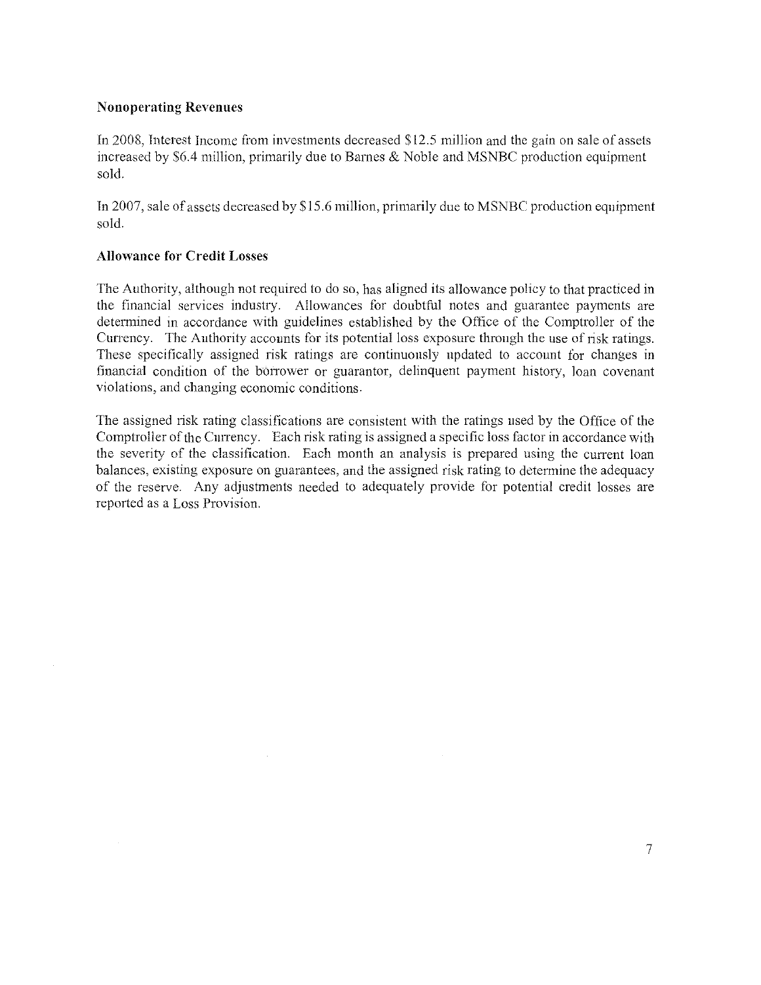## Nonoperating Revenues

In 2008, Interest Income from investments decreased \$12.5 million and the gain on sale of assets increased by \$6.4 million, primarily due to Barnes & Noble and MSNBC production equipment sold.

In 2007, sale of assets decreased by \$15.6 million, primarily due to MSNBC production equipment sold.

## Allowance for Credit Losses

The Authority, although not required to do so, has aligned its allowance policy to that practiced in the financial services industry. Allowances for doubtful notes and guarantee payments are determined in accordance with guidelines established by the Office of the Comptroller of the Currency. The Authority accounts for its potential loss exposure through the use of risk ratings. These specifically assigned risk ratings are continuously updated to account for changes in financial condition of the borrower or guarantor, delinquent payment history, loan covenant violations, and changing economic conditions.

The assigned risk rating classifications are consistent with the ratings used by the Office of the Comptroller of the Currency. Each risk rating is assigned a specific loss factor in accordance with the severity of the classification. Each month an analysis is prepared using the current loan balances, existing exposure on guarantees, and the assigned risk rating to determine the adequacy of the reserve. Any adjustments needed to adequately provide for potential credit losses are reported as a Loss Provision.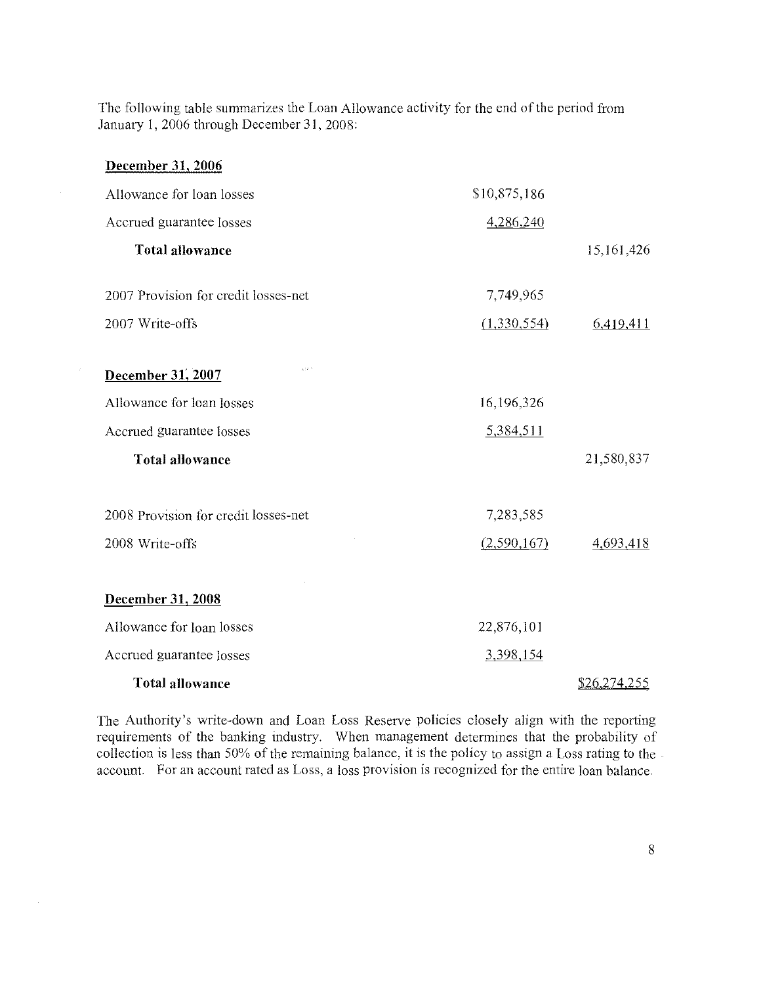The following table summarizes the Loan Allowance activity for the end of the period from January 1, 2006 through December 31, 2008:

| December 31, 2006                    |              |              |  |
|--------------------------------------|--------------|--------------|--|
| Allowance for loan losses            | \$10,875,186 |              |  |
| Accrued guarantee losses             | 4,286,240    |              |  |
| <b>Total allowance</b>               |              | 15, 161, 426 |  |
| 2007 Provision for credit losses-net | 7,749,965    |              |  |
| 2007 Write-offs                      | (1,330,554)  | 6,419,411    |  |
|                                      |              |              |  |
| 417.7<br>December 31, 2007           |              |              |  |
| Allowance for loan losses            | 16,196,326   |              |  |
| Accrued guarantee losses             | 5,384,511    |              |  |
| <b>Total allowance</b>               |              | 21,580,837   |  |
| 2008 Provision for credit losses-net | 7,283,585    |              |  |
| 2008 Write-offs                      | (2,590,167)  | 4,693,418    |  |
|                                      |              |              |  |
| December 31, 2008                    |              |              |  |
| Allowance for loan losses            | 22,876,101   |              |  |
| Accrued guarantee losses             | 3,398,154    |              |  |
| <b>Total allowance</b>               |              | \$26,274,255 |  |

The Authority's write-down and Loan Loss Reserve policies closely align with the reporting requirements of the banking industry. When management determines that the probability of collection is less than 50% of the remaining balance, it is the policy to assign a Loss rating to the account. For an account rated as Loss, a loss provision is recognized for the entire loan balance.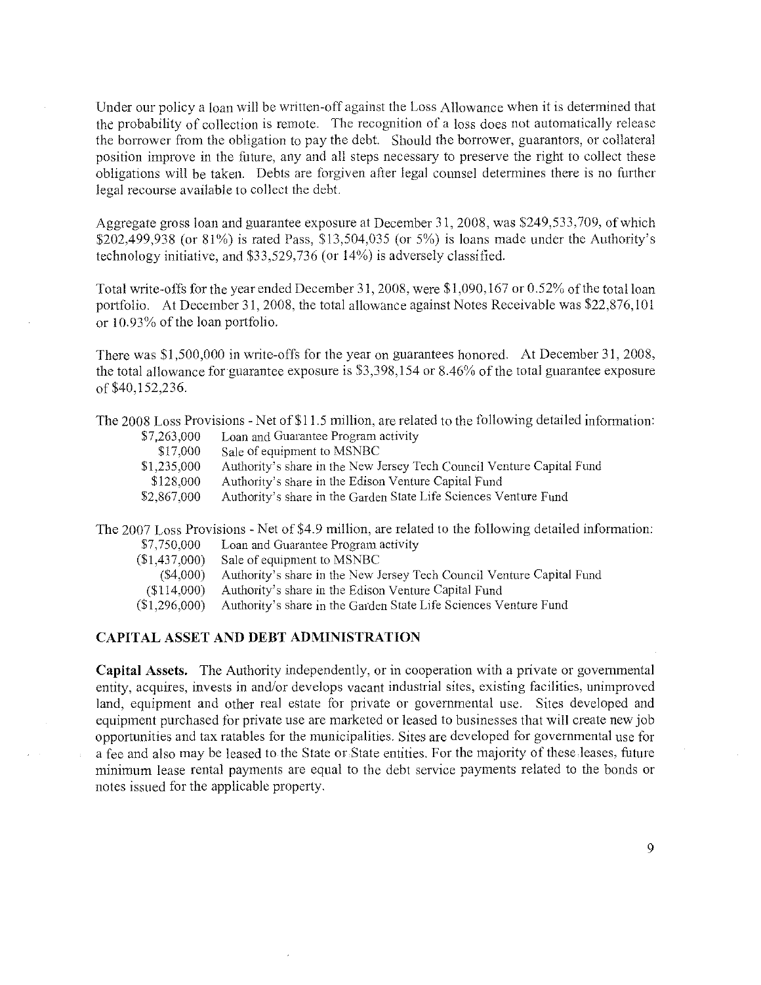Under our policy a loan will be written-off against the Loss Allowance when it is determined that the probability of collection is remote. The recognition of a loss does not automatically releasc the borrower from the obligation to pay the debt. Should the borrower, guarantors, or collateral position improve in the future, any and all steps necessary to preserve the right to collect these obligations will be taken. Debts are forgiven afier legal counsel determines there is no further legal recourse available to collect the debt.

Aggregate gross loan and guarantee exposure at December 31, 2008, was \$249,533,709, of which \$202,499,938 (or 81%) is rated Pass, \$13,504,035 (or 5%) is loans made under the Authority's technology initiative, and \$33,529,736 (or 14%) is adversely classified.

Total write-offs for the year ended December31, 2008, were \$1,090,167 or 0.52% of the total loan portfolio. At December 31, 2008, the total allowance against Notes Receivable was \$22,876,101 or 10.93% of the loan portfolio.

There was \$1,500,000 in write-offs for the year on guarantees honored. At December 31, 2008, the total allowance for guarantee exposure is \$3,398,154 or 8.46% of the total guarantee exposure of \$40,152,236.

The 2008 Loss Provisions - Net of \$11.5 million, are related to the following detailed information:

| \$7,263,000 | Loan and Guarantee Program activity                                   |
|-------------|-----------------------------------------------------------------------|
| \$17,000    | Sale of equipment to MSNBC                                            |
| \$1,235,000 | Authority's share in the New Jersey Tech Council Venture Capital Fund |
| \$128,000   | Authority's share in the Edison Venture Capital Fund                  |
| \$2,867,000 | Authority's share in the Garden State Life Sciences Venture Fund      |
|             |                                                                       |

The 2007 Loss Provisions - Net of \$4.9 million, are related to the following detailed information:

- \$7,750,000 Loan and Guarantee Program activity
- (\$1,437,000) Sale of equipment to MSNBC
	- (\$4,000) Authority's share in the New Jersey Tech Council Venture Capital Fund

 $(114,000)$  Authority's share in the Edison Venture Capital Fund

(\$1,296,000) Authority's share in the Garden State Life Sciences Venture Fund

## CAPITAL ASSET AND DEBT ADMINISTRATION

Capital Assets. The Authority independently, or in cooperation with a private or governmental entity, acquires, invests in and/or develops vacant industrial sites, existing facilities, unimproved land, equipment and other real estate for private or governmental use. Sites developed and equipment purchased for private use are marketed or leased to businesses that will create new job opportunities and tax ratables for the municipalities. Sites are developed for governmental use for a fee and also may be leased to the State or..State entities. For the majority of these leases, future minimum lease rental payments are equal to the debt service payments related to the bonds or notes issued for the applicable property.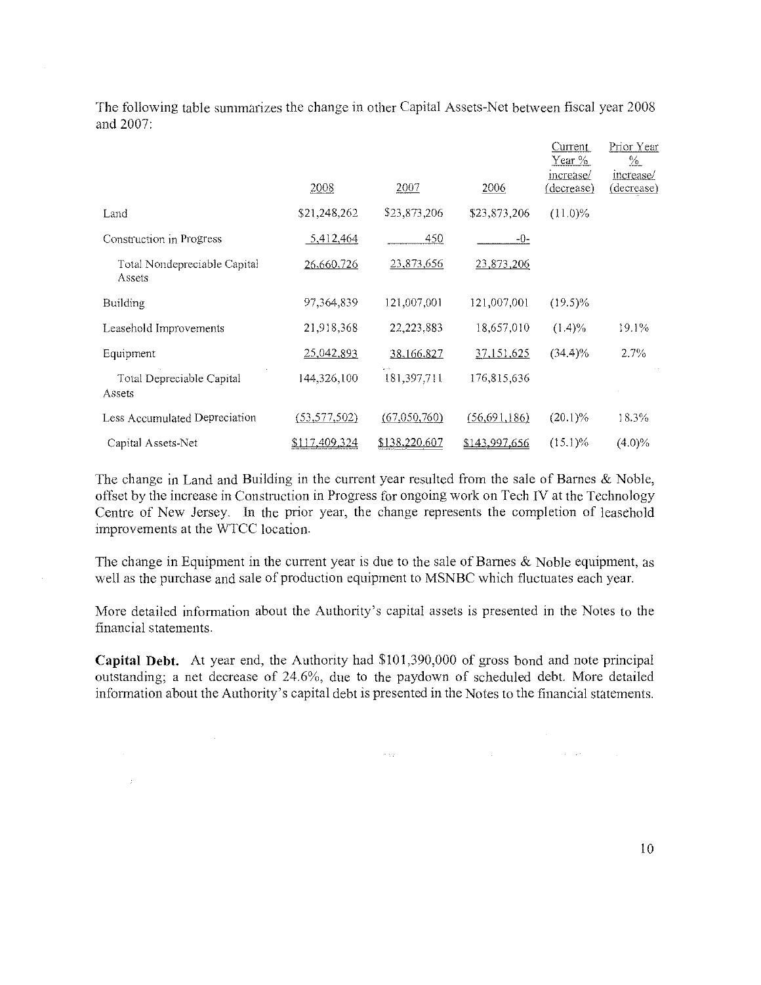The following table summarizes the change in other Capital Assets-Net between fiscal year 2008 and 2007:

|                                        |                |                      |               | Current<br>Year %<br>mcrease/ | Prior Year<br>$\frac{0}{2}$<br>increase/ |  |
|----------------------------------------|----------------|----------------------|---------------|-------------------------------|------------------------------------------|--|
|                                        | 2008           | 2007                 | 2006          | (decrease)                    | (decrease)                               |  |
| Land                                   | \$21,248,262   | \$23,873,206         | \$23,873,206  | $(11.0)\%$                    |                                          |  |
| Construction in Progress               | 5.412,464      | 450                  | -0-           |                               |                                          |  |
| Total Nondepreciable Capital<br>Assets | 26,660,726     | 23,873,656           | 23,873,206    |                               |                                          |  |
| <b>Building</b>                        | 97,364,839     | 121,007,001          | 121,007,001   | $(19.5)\%$                    |                                          |  |
| Leasehold Improvements                 | 21,918,368     | 22,223,883           | 18,657,010    | $(1.4)\%$                     | 19.1%                                    |  |
| Equipment                              | 25,042,893     | 38,166,827           | 37,151,625    | $(34.4)\%$                    | 2.7%                                     |  |
| Total Depreciable Capital<br>Assets    | 144,326,100    | 181,397,711          | 176,815,636   |                               |                                          |  |
| Less Accumulated Depreciation          | (53, 577, 502) | (67,050,760)         | (56,691,186)  | $(20.1)\%$                    | 18.3%                                    |  |
| Capital Assets-Net                     | \$117,409,324  | <u>\$138.220.607</u> | \$143,997,656 | $(15.1)\%$                    | $(4.0)\%$                                |  |

The change in Land and Building in the current year resulted from the sale of Barnes & Noble, offset by the increase in Construction in Progress for ongoing work on Tech IV at the Technology Centre of New Jersey. in the prior year, the change represents the completion of leasehold improvements at the WTCC location.

The change in Equipment in the current year is due to the sale of Barnes & Noble equipment, as well as the purchase and sale of production equipment to MSNBC which fluctuates each year.

More detailed information about the Authority's capital assets is presented in the Notes to the financial statements.

Capital Debt. At year end, the Authority had \$101,390,000 of gross bond and note principal outstanding; a net decrease of 24.6%, due to the paydown of scheduled debt. More detailed information about the Authority's capital debt is presented in the Notes to the financial statements.

 $\sim 0.32$  and  $\sim 0.01$  and  $\sim 0.01$  and  $\sim 0.01$  and  $\sim 0.001$  and  $\sim 0.001$ 

 $\sim 10^{-1}$ 

 $\mathcal{A}^{\mathrm{c}}$  and  $\mathcal{A}^{\mathrm{c}}$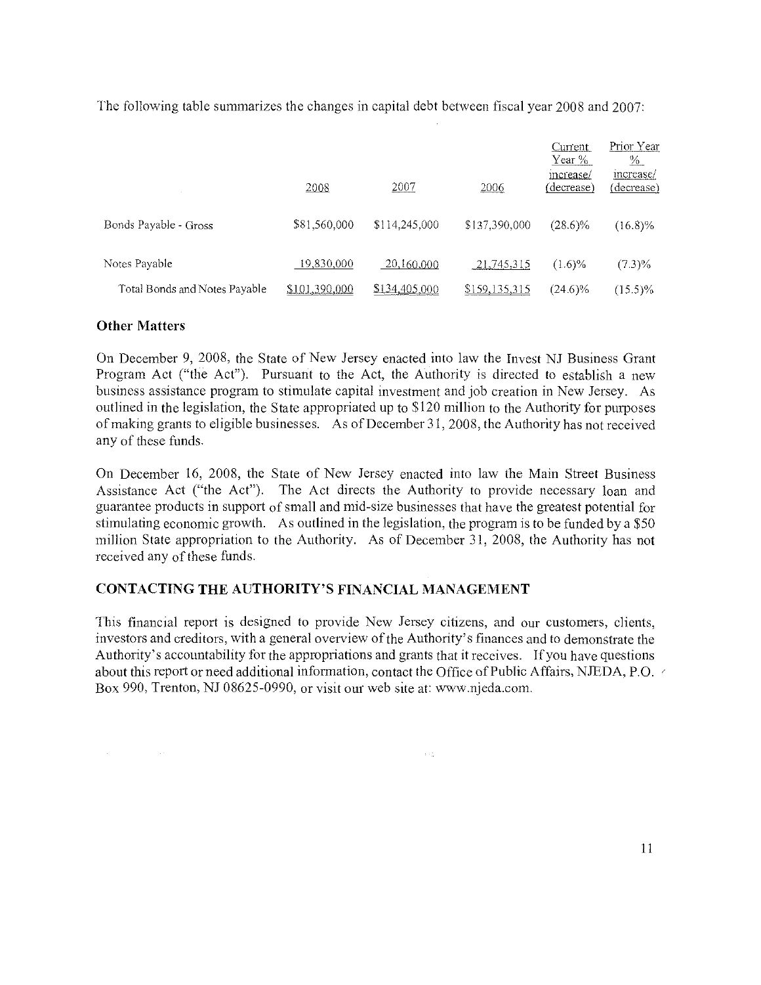The following table summarizes the changes in capital debt between fiscal year 2008 and 2007:

|                               | 2008          | 2007          | 2006            | <b>Current</b><br>Year %<br>mcrease/<br>(decrease) | Prior Year<br>$\frac{9}{6}$<br>mcrease/<br>(decrease) |  |
|-------------------------------|---------------|---------------|-----------------|----------------------------------------------------|-------------------------------------------------------|--|
| Bonds Payable - Gross         | \$81,560,000  | \$114,245,000 | \$137,390,000   | $(28.6)\%$                                         | $(16.8)\%$                                            |  |
| Notes Payable                 | 19.830.000    | 20,160,000    | 21,745.315      | $(1.6)\%$                                          | $(7.3)\%$                                             |  |
| Total Bonds and Notes Payable | \$101,390,000 | \$134,405,000 | \$159, 135, 315 | $(24.6)\%$                                         | $(15.5)\%$                                            |  |

## Other Matters

outlined in the legislation, the State appropriated up to \$120 million to the Authority for purposes of making grants to eligible businesses. As of December 31, 2008, the Authority has not received any of these funds. On December 9, 2008, the State of New Jersey enacted into law the Invest NJ Business Grant Program Act ("the Act"). Pursuant to the Act, the Authority is directed to establish a new business assistance program to stimulate capital investment and job creation in New Jersey. As

On December 16, 2008, the State of New Jersey enacted into law the Main Street Business Assistance Act ("the Act"). The Act directs the Authority to provide necessary loan and guarantee products in support of small and mid-size businesses that have the greatest potential for stimulating economic growth. As outlined in the legislation, the program is to be funded by a \$50 million State appropriation to the Authority. As of December 31, 2008, the Authority has not received any of these funds.

## CONTACTING THE AUTHORITY'S FINANCIAL MANAGEMENT

This financial report is designed to provide New Jersey citizens, and our customers, clients, investors and creditors, with a general overview of the Authority's finances and to demonstrate the Authority's accountability for the appropriations and grants that it receives. if you have questions about this report or need additional information, contact the Office of Public Affairs, NJEDA, P.O. Box 990, Trenton, NJ 08625-0990, or visit our web site at: www.njeda.com.

 $\sim 0.2$  .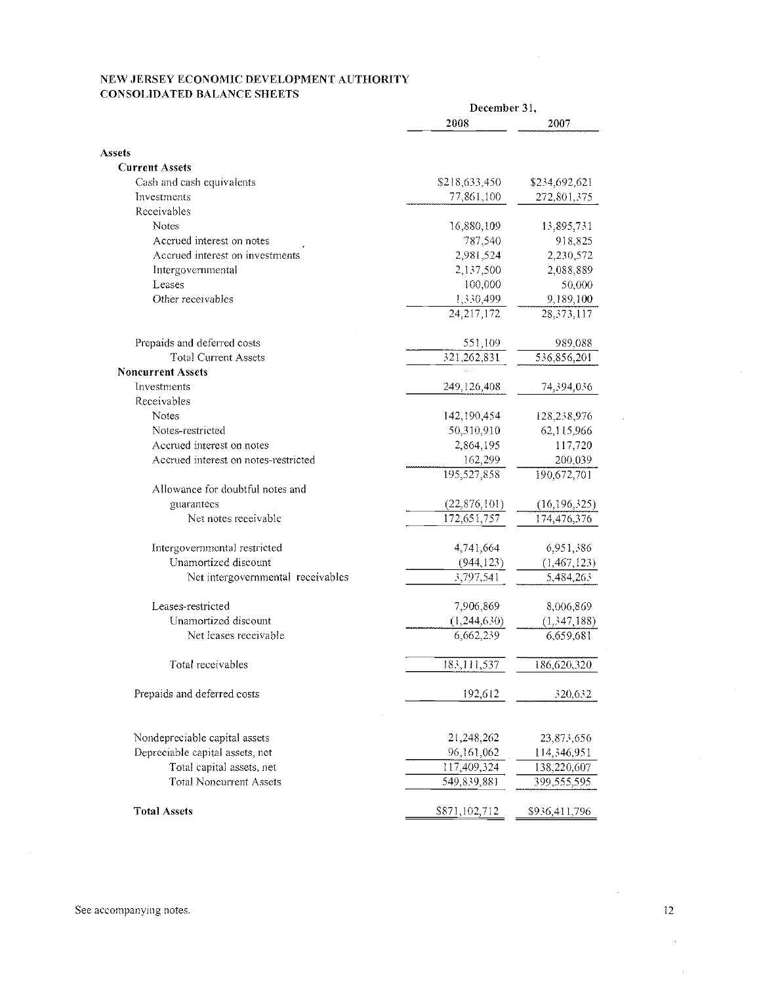### NEW JERSEY ECONOMIC DEVELOPMENT AUTHORITY CONSOLIDATED BALANCE SHEETS

|                                      | December 31,   |                |
|--------------------------------------|----------------|----------------|
|                                      | 2008           | 2007           |
| Assets                               |                |                |
| <b>Current Assets</b>                |                |                |
| Cash and cash equivalents            | \$218,633,450  | \$234,692,621  |
| Investments                          | 77,861,100     | 272,801,375    |
| Receivables                          |                |                |
| Notes                                | 16,880,109     | 13,895,731     |
| Accrued interest on notes            | 787,540        | 918,825        |
| Accrued interest on investments      | 2,981,524      | 2,230,572      |
| Intergovernmental                    | 2,137,500      | 2,088,889      |
| Leases                               | 100,000        | 50,000         |
| Other receivables                    | 1,330,499      | 9,189,100      |
|                                      | 24, 217, 172   | 28,373,117     |
| Prepaids and deferred costs          | 551,109        | 989,088        |
| <b>Total Current Assets</b>          | 321,262,831    | 536,856,201    |
| <b>Noncurrent Assets</b>             |                |                |
| Investments                          | 249,126,408    | 74, 394, 036   |
| Receivables                          |                |                |
| Notes                                | 142,190,454    | 128,238,976    |
| Notes-restricted                     | 50,310,910     | 62,115,966     |
| Accrued interest on notes            | 2,864,195      | 117,720        |
| Accrued interest on notes-restricted | 162,299        | 200,039        |
|                                      | 195,527,858    | 190,672,701    |
| Allowance for doubtful notes and     |                |                |
| guarantees                           | (22, 876, 101) | (16, 196, 325) |
| Net notes receivable                 | 172,651,757    | 174,476,376    |
|                                      |                |                |
| Intergovernmental restricted         | 4,741,664      | 6,951,386      |
| Unamortized discount                 | (944, 123)     | (1,467,123)    |
| Net intergovernmental receivables    | 3,797,541      | 5,484,263      |
| Leases-restricted                    | 7,906,869      | 8,006,869      |
| Unamortized discount                 | (1, 244, 630)  | (1, 347, 188)  |
| Net leases receivable                | 6,662,239      | 6,659,681      |
| Total receivables                    | 183,111,537    | 186,620,320    |
| Prepaids and deferred costs          | 192,612        | 320,632        |
|                                      |                |                |
| Nondepreciable capital assets        | 21,248,262     | 23,873,656     |
| Depreciable capital assets, net      | 96,161,062     | 114,346,951    |
| Total capital assets, net            | 117,409,324    | 138,220,607    |
| <b>Total Noncurrent Assets</b>       | 549,839,881    | 399,555,595    |
| <b>Total Assets</b>                  | \$871,102,712  | \$936,411,796  |

 $\bar{\mathcal{A}}$ 

 $\sim$ 

 $\alpha$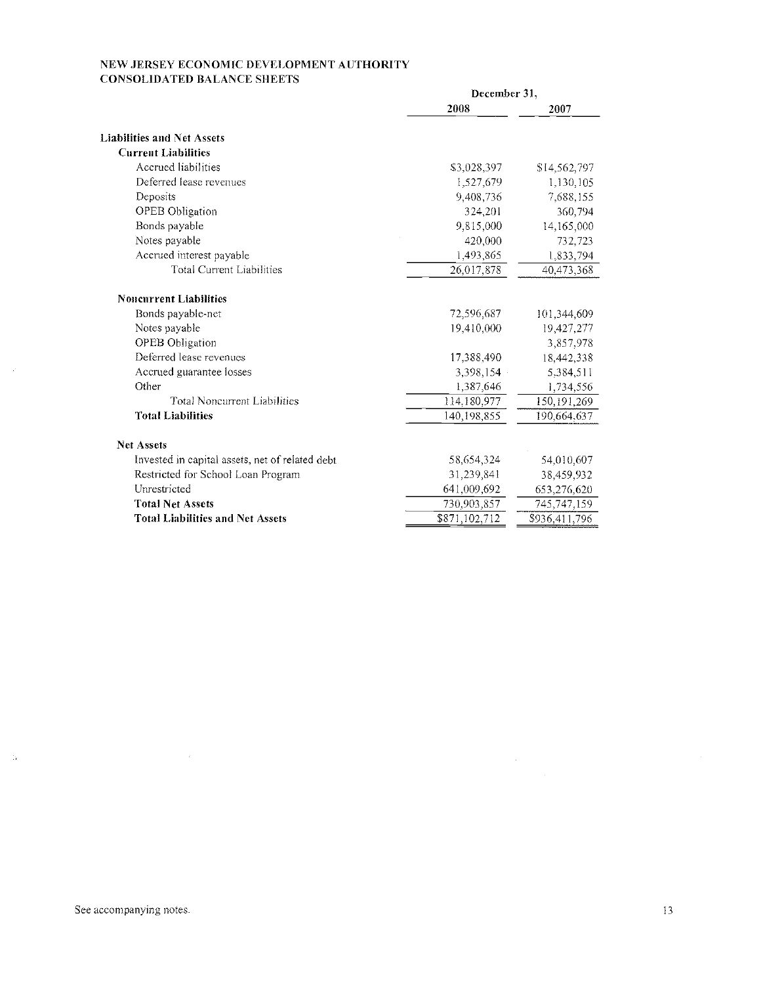### NEW JERSEY ECONOMIC DEVELOPMENT AUTHORITY CONSOLIDATED BALANCE SHEETS

|                                                 | December 31,  |               |  |
|-------------------------------------------------|---------------|---------------|--|
|                                                 | 2008          | 2007          |  |
| <b>Liabilities and Net Assets</b>               |               |               |  |
| <b>Current Liabilities</b>                      |               |               |  |
| Accrued liabilities                             | \$3,028,397   | \$14,562,797  |  |
| Deferred lease revenues                         | 1,527,679     | 1,130,105     |  |
| Deposits                                        | 9,408,736     | 7,688,155     |  |
| <b>OPEB</b> Obligation                          | 324,201       | 360,794       |  |
| Bonds payable                                   | 9,815,000     | 14,165,000    |  |
| Notes payable                                   | 420,000       | 732,723       |  |
| Accrued interest payable                        | 1,493,865     | 1,833,794     |  |
| <b>Total Current Liabilities</b>                | 26,017,878    | 40,473,368    |  |
| <b>Noncurrent Liabilities</b>                   |               |               |  |
| Bonds payable-net                               | 72,596,687    | 101.344,609   |  |
| Notes payable                                   | 19,410,000    | 19.427,277    |  |
| <b>OPEB</b> Obligation                          |               | 3,857,978     |  |
| Deferred lease revenues                         | 17,388,490    | 18,442,338    |  |
| Accrued guarantee losses                        | 3,398,154     | 5,384,511     |  |
| Other                                           | 1,387,646     | 1,734,556     |  |
| <b>Total Noncurrent Liabilities</b>             | 114.180.977   | 150, 191, 269 |  |
| <b>Total Liabilities</b>                        | 140,198,855   | 190,664,637   |  |
| <b>Net Assets</b>                               |               |               |  |
| Invested in capital assets, net of related debt | 58,654,324    | 54,010,607    |  |
| Restricted for School Loan Program              | 31,239,841    | 38,459,932    |  |
| Unrestricted                                    | 641,009,692   | 653,276,620   |  |
| <b>Total Net Assets</b>                         | 730,903,857   | 745,747,159   |  |
| <b>Total Liabilities and Net Assets</b>         | \$871,102,712 | \$936.411,796 |  |

 $\sim 10^{11}$ 

 $\sim$ 

 $\label{eq:2.1} \begin{split} \mathcal{L}_{\text{max}}(\mathbf{r}) = \mathcal{L}_{\text{max}}(\mathbf{r}) \mathcal{L}_{\text{max}}(\mathbf{r}) \,, \end{split}$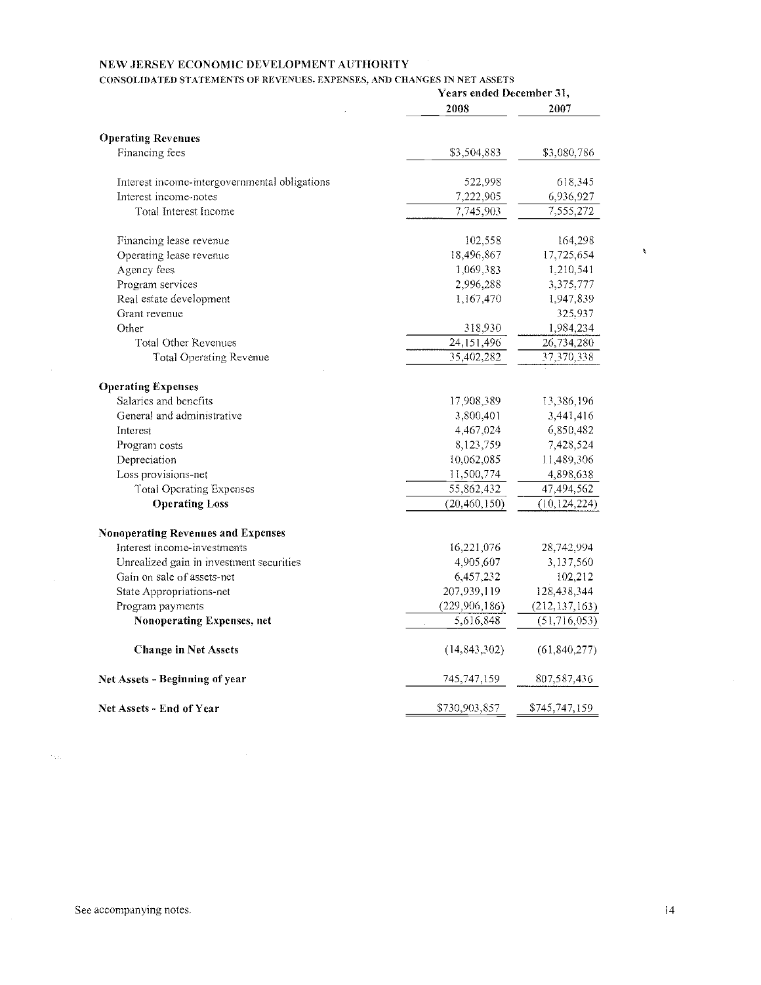### NEW JERSEY ECONOMIC DEVELOPMENT AUTHORITY

#### CONSOLIDAFE!) STATEMENTS OF REVENUES. EXPENSES, AN!) CHANGES IN NET ASSETS

|                                               | Years ended December 31, |                 |
|-----------------------------------------------|--------------------------|-----------------|
|                                               | 2008                     | 2007            |
| <b>Operating Revenues</b>                     |                          |                 |
| Financing fees                                | \$3,504,883              | \$3,080,786     |
| Interest income-intergovernmental obligations | 522,998                  | 618,345         |
| Interest income-notes                         | 7,222,905                | 6,936,927       |
| Total Interest Income                         | 7,745,903                | 7,555,272       |
| Financing lease revenue                       | 102,558                  | 164,298         |
| Operating lease revenue                       | 18,496,867               | 17,725,654      |
| Agency fees                                   | 1,069,383                | 1,210,541       |
| Program services                              | 2,996,288                | 3,375,777       |
| Real estate development                       | 1,167,470                | 1,947,839       |
| Grant revenue                                 |                          | 325,937         |
| Other                                         | 318,930                  | 1,984,234       |
| <b>Total Other Revenues</b>                   | 24,151,496               | 26,734,280      |
| <b>Total Operating Revenue</b>                | 35,402,282               | 37,370,338      |
| <b>Operating Expenses</b>                     |                          |                 |
| Salaries and benefits                         | 17,908,389               | 13,386,196      |
| General and administrative                    | 3,800,401                | 3,441,416       |
| Interest                                      | 4,467,024                | 6,850,482       |
| Program costs                                 | 8,123,759                | 7,428,524       |
| Depreciation                                  | 10,062,085               | 11,489,306      |
| Loss provisions-net                           | 11,500,774               | 4,898,638       |
| <b>Total Operating Expenses</b>               | 55,862,432               | 47,494,562      |
| <b>Operating Loss</b>                         | (20, 460, 150)           | (10, 124, 224)  |
| Nonoperating Revenues and Expenses            |                          |                 |
| Interest income-investments                   | 16,221,076               | 28,742,994      |
| Unrealized gain in investment securities      | 4,905,607                | 3,137,560       |
| Gain on sale of assets-net                    | 6,457,232                | 102,212         |
| State Appropriations-net                      | 207,939,119              | 128,438,344     |
| Program payments                              | (229, 906, 186)          | (212, 137, 163) |
| Nonoperating Expenses, net                    | 5,616,848                | (51, 716, 053)  |
| <b>Change in Net Assets</b>                   | (14, 843, 302)           | (61, 840, 277)  |
| Net Assets - Beginning of year                | 745,747,159              | 807,587,436     |
| <b>Net Assets - End of Year</b>               | \$730,903,857            | \$745,747,159   |

 $\langle \cdot \rangle_{\rm{M}_2}$ 

 $\mathcal{A}^{\prime}$ 

 $\bar{\mathbf{v}}$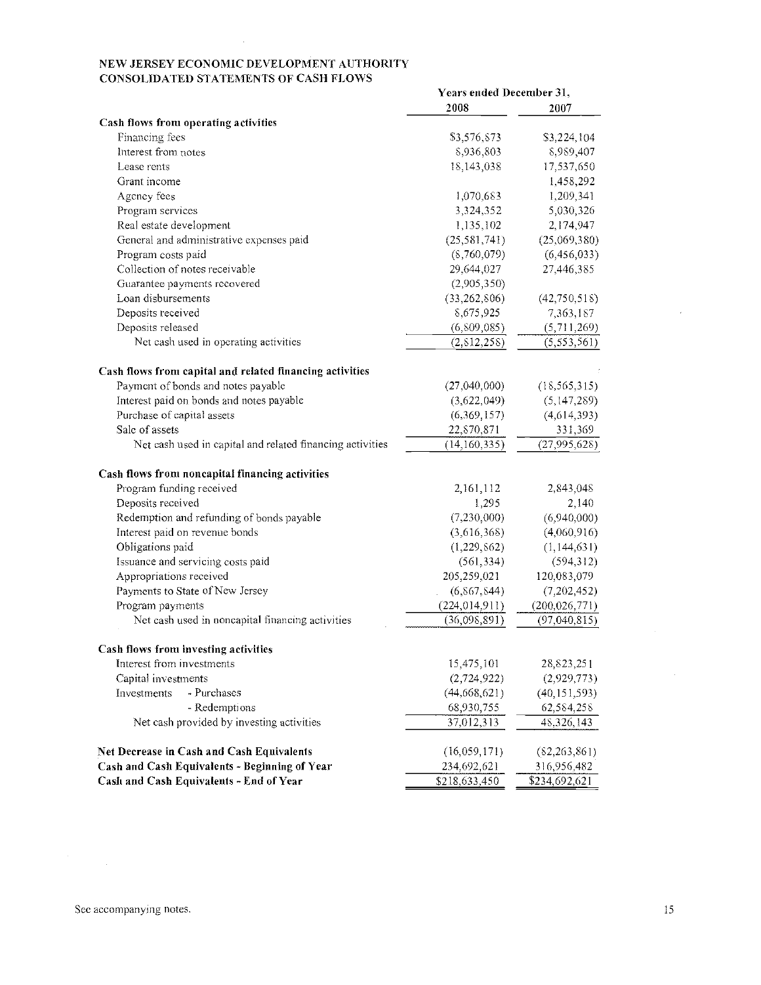### NEW JERSEY ECONOMIC DEVELOPMENT AUTHORITY CONSOLIDATED STATEMENTS OF CASH FLOWS

 $\sim$   $\sim$ 

|                                                           | Years ended December 31, |                 |
|-----------------------------------------------------------|--------------------------|-----------------|
|                                                           | 2008                     | 2007            |
| Cash flows from operating activities                      |                          |                 |
| Financing fees                                            | \$3,576,873              | \$3,224,104     |
| Interest from notes                                       | 8,936,803                | 8,989,407       |
| Lease rents                                               | 18,143,038               | 17,537,650      |
| Grant income                                              |                          | 1,458,292       |
| Agency fees                                               | 1,070,683                | 1,209,341       |
| Program services                                          | 3,324,352                | 5,030,326       |
| Real estate development                                   | 1,135,102                | 2,174,947       |
| General and administrative expenses paid                  | (25, 581, 741)           | (25,069,380)    |
| Program costs paid                                        | (8,760,079)              | (6,456,033)     |
| Collection of notes receivable                            | 29,644,027               | 27,446,385      |
| Guarantee payments recovered                              | (2,905,350)              |                 |
| Loan disbursements                                        | (33, 262, 806)           | (42,750,518)    |
| Deposits received                                         | 8,675,925                | 7,363,187       |
| Deposits released                                         | (6,809,085)              | (5,711,269)     |
| Net cash used in operating activities                     | (2,812,258)              | (5,553,561)     |
| Cash flows from capital and related financing activities  |                          |                 |
| Payment of bonds and notes payable                        | (27,040,000)             | (18, 565, 315)  |
| Interest paid on bonds and notes payable                  | (3,622,049)              | (5, 147, 289)   |
| Purchase of capital assets                                | (6,369,157)              | (4,614,393)     |
| Sale of assets                                            | 22,870,871               | 331,369         |
| Net cash used in capital and related financing activities | (14, 160, 335)           | (27,995,628)    |
| Cash flows from noncapital financing activities           |                          |                 |
| Program funding received                                  | 2,161,112                | 2,843,048       |
| Deposits received                                         | 1,295                    | 2,140           |
| Redemption and refunding of bonds payable                 | (7, 230, 000)            | (6,940,000)     |
| Interest paid on revenue bonds                            | (3,616,368)              | (4,060,916)     |
| Obligations paid                                          | (1,229,862)              | (1, 144, 631)   |
| Issuance and servicing costs paid                         | (561, 334)               | (594,312)       |
| Appropriations received                                   | 205,259,021              | 120,083,079     |
| Payments to State of New Jersey                           | (6, 867, 844)            | (7,202,452)     |
| Program payments                                          | (224, 014, 911)          | (200, 026, 771) |
| Net cash used in noncapital financing activities          | (36,098,891)             | (97,040,815)    |
|                                                           |                          |                 |
| Cash flows from investing activities                      |                          |                 |
| Interest from investments                                 | 15,475,101               | 28, 823, 251    |
| Capital investments                                       | (2,724,922)              | (2,929,773)     |
| - Purchases<br>Investments                                | (44, 668, 621)           | (40, 151, 593)  |
| - Redemptions                                             | 68,930,755               | 62,584,258      |
| Net cash provided by investing activities                 | 37,012,313               | 48,326,143      |
| Net Decrease in Cash and Cash Equivalents                 | (16,059,171)             | (82, 263, 861)  |
| Cash and Cash Equivalents - Beginning of Year             | 234,692,621              | 316,956,482     |
| Casli and Cash Equivalents - End of Year                  | \$218,633,450            | \$234,692,621   |

 $\label{eq:2.1} \frac{1}{\sqrt{2}}\sum_{i=1}^n\frac{1}{\sqrt{2\pi}}\sum_{i=1}^n\frac{1}{\sqrt{2\pi}}\sum_{i=1}^n\frac{1}{\sqrt{2\pi}}\sum_{i=1}^n\frac{1}{\sqrt{2\pi}}\sum_{i=1}^n\frac{1}{\sqrt{2\pi}}\sum_{i=1}^n\frac{1}{\sqrt{2\pi}}\sum_{i=1}^n\frac{1}{\sqrt{2\pi}}\sum_{i=1}^n\frac{1}{\sqrt{2\pi}}\sum_{i=1}^n\frac{1}{\sqrt{2\pi}}\sum_{i=1}^n\frac{$ 

 $\mathcal{A}$ 

 $\langle x \rangle$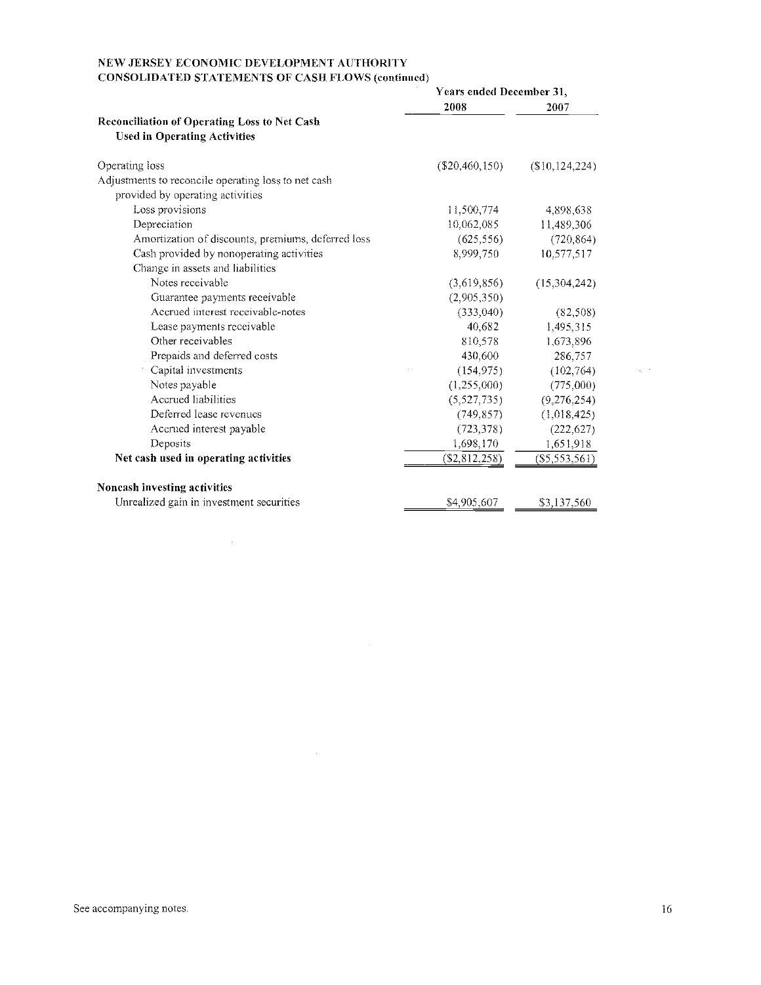## NEW JERSEY ECONOMIC DEVELOPMENT AUTHORITY CONSOLIDATED STATEMENTS OF CASH FLOWS (continued)

 $\mathcal{L}^{\text{max}}_{\text{max}}$  and  $\mathcal{L}^{\text{max}}_{\text{max}}$ 

|                                                                                     | Years ended December 31, |                 |
|-------------------------------------------------------------------------------------|--------------------------|-----------------|
|                                                                                     | 2008                     | 2007            |
| Reconciliation of Operating Loss to Net Cash<br><b>Used in Operating Activities</b> |                          |                 |
| Operating loss                                                                      | $(\$20,460,150)$         | (S10, 124, 224) |
| Adjustments to reconcile operating loss to net cash                                 |                          |                 |
| provided by operating activities                                                    |                          |                 |
| Loss provisions                                                                     | 11,500,774               | 4,898,638       |
| Depreciation                                                                        | 10,062,085               | 11,489,306      |
| Amortization of discounts, premiums, deferred loss                                  | (625, 556)               | (720, 864)      |
| Cash provided by nonoperating activities                                            | 8,999,750                | 10,577,517      |
| Change in assets and liabilities                                                    |                          |                 |
| Notes receivable                                                                    | (3,619,856)              | (15,304,242)    |
| Guarantee payments receivable                                                       | (2,905,350)              |                 |
| Accrued interest receivable-notes                                                   | (333,040)                | (82,508)        |
| Lease payments receivable                                                           | 40,682                   | 1,495,315       |
| Other receivables                                                                   | 810,578                  | 1,673,896       |
| Prepaids and deferred costs                                                         | 430,600                  | 286,757         |
| Capital investments                                                                 | (154, 975)               | (102, 764)      |
| Notes payable                                                                       | (1,255,000)              | (775,000)       |
| Accrued liabilities                                                                 | (5,527,735)              | (9, 276, 254)   |
| Deferred lease revenues                                                             | (749, 857)               | (1,018,425)     |
| Accrued interest payable                                                            | (723, 378)               | (222, 627)      |
| Deposits                                                                            | 1,698,170                | 1,651,918       |
| Net cash used in operating activities                                               | (\$2,812,258)            | (S5, 553, 561)  |
| Noncash investing activities                                                        |                          |                 |
| Unrealized gain in investment securities                                            | \$4,905,607              | \$3,137,560     |

 $\mathcal{L}^{\text{max}}_{\text{max}}$  and  $\mathcal{L}^{\text{max}}_{\text{max}}$ 

 $\sim 10^{-10}$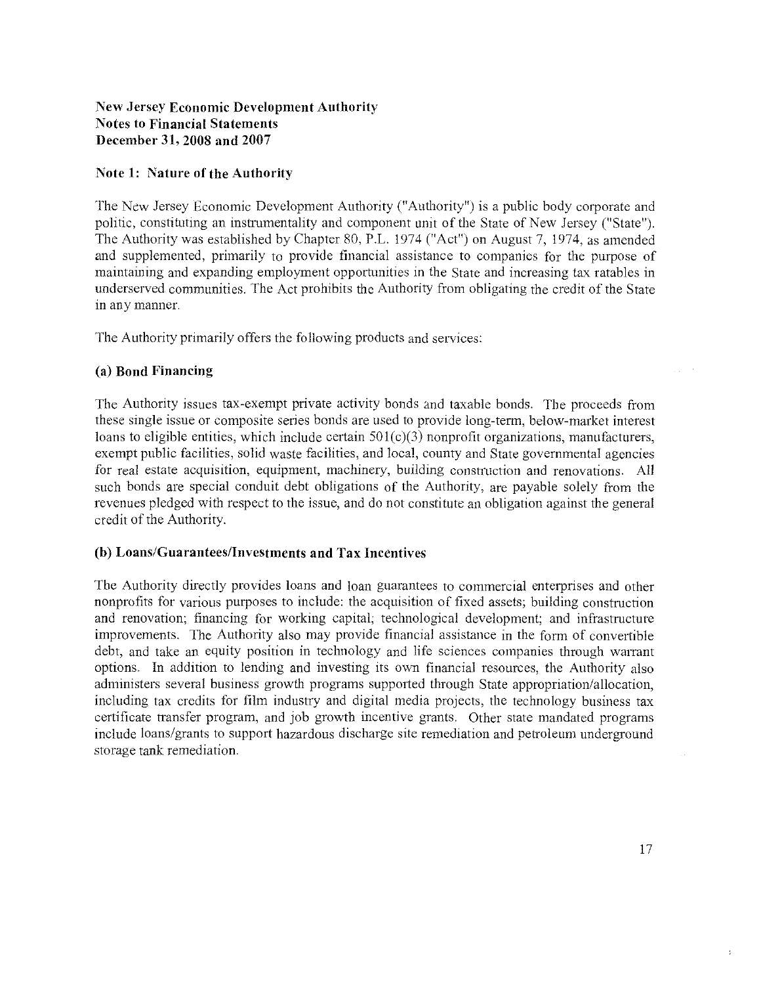# New Jersey Economic Development Authority Notes to Financial Statements December 31, 2008 and 2007

## Note 1: Nature of the Authority

The New Jersey Economic Development Authority ("Authority") is a public body corporate and politic, constituting an instrumentality and component unit of the State of New Jersey ("State"). The Authority was established by Chapter 80, PL. 1974 ("Act") on August 7, 1974, as amended and supplemented, primarily to provide financial assistance to companies for the purpose of maintaining and expanding employment opportunities in the State and increasing tax ratables in underserved communities. The Act prohibits the Authority from obligating the credit of the State in any manner.

The Authority primarily offers the following products and services:

## (a) Bond Financing

The Authority issues tax-exempt private activity bonds and taxable bonds. The proceeds from these single issue or composite series bonds are used to provide long-term, below-market interest loans to eligible entities, which include certain  $501(c)(3)$  nonprofit organizations, manufacturers, exempt public facilities, solid waste facilities, and local, county and State governmental agencies for real estate acquisition, equipment, machinery, building construction and renovations. All such bonds are special conduit debt obligations of the Authority, are payable solely from the revenues pledged with respect to the issue, and do not constitute an obligation against the general credit of the Authority.

## (b) Loans/Guarantees/Investments and Tax Incentives

The Authority directly provides loans and loan guarantees to commercial enterprises and other nonprofits for various purposes to include: the acquisition of fixed assets; building construction and renovation; financing for working capital; technological development; and infrastructure improvements. The Authority also may provide financial assistance in the form of convertible debt, and take an equity position in technology and life sciences companies through warrant options. In addition to lending and investing its own financial resources, the Authority also administers several business growth programs supported through State appropriation/allocation, including tax credits for film industry and digital media projects, the technology business tax certificate transfer program, and job growth incentive grants. Other state mandated programs include loans/grants to support hazardous discharge site rernediation and petroleum underground storage tank remediation.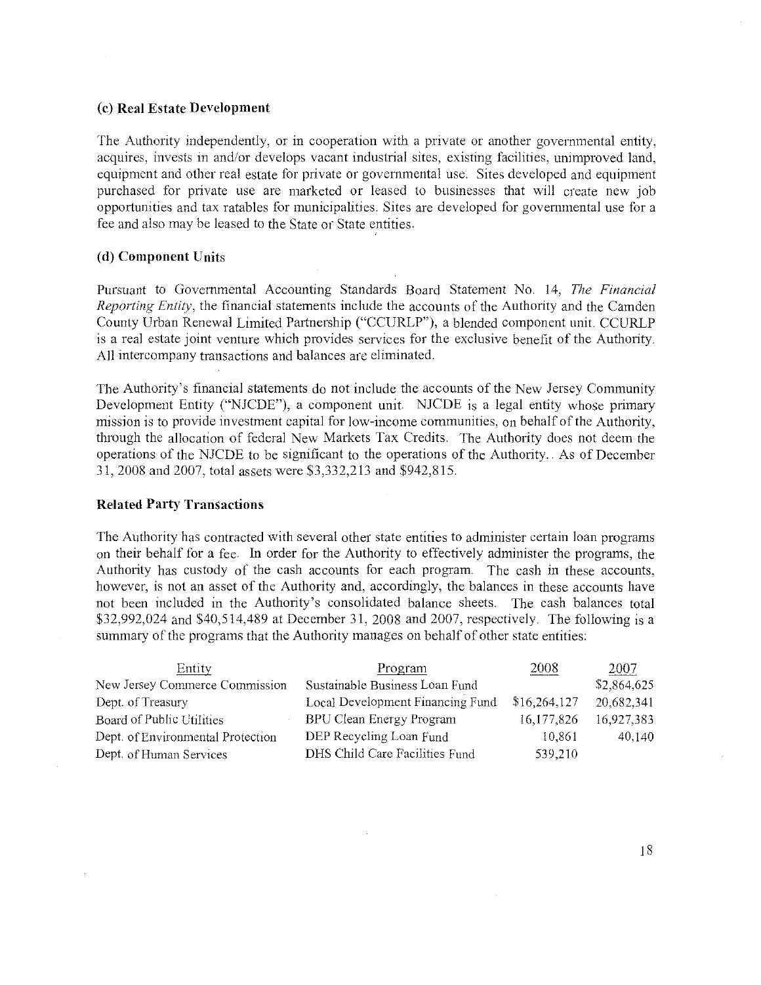### (c) Real Estate Development

The Authority independently, or in cooperation with a private or another governmental entity, acquires, invests in and/or develops vacant industrial sites, existing facilities, unimproved land, equiprncnt and other real estate for private or governmental use. Sites developed and equipment purchased for private use are marketed or leased to businesses that will create new job opportunities and tax ratables for municipalities. Sites are developed for governmental use for a fee and also may he leased to the State or State entities.

### (d) Component Units

Pursuant to Governmental Accounting Standards Board Statement No. 14, The Financial Reporting Entity, the financial statements include the accounts of the Authority and the Camden County Urban Renewal Limited Partnership ("CCURLP"), a blended component unit. CCURLP is a real estate joint venture which provides services for the exclusive benefit of the Authority, All intercompany transactions and balances are eliminated.

The Authority's financial statements do not include the accounts of the New Jersey Community Development Entity ("NJCDE"), a component unit. NJCDE is a legal entity whose primary mission is to provide investment capital for low-income communities, on behalf of the Authority, through the allocation of federal New Markets Tax Credits. The Authority does not deem the operations of the NJCDE to be significant to the operations of the Authority,. As of December 31,2008 and 2007, total assets were \$3,332,213 and \$942,815.

#### Related Party Transactions

The Authority has contracted with several other state entities to administer certain loan programs on their behalf for a fee, In order for the Authority to effectively administer the programs, the Authority has custody of the cash accounts for each program. The cash in these accounts, however, is not an asset of the Authority and, accordingly, the balances in these accounts have not been included in the Authority's consolidated balance sheets, The cash balances total  $$32,992,024$  and  $$40,514,489$  at December 31, 2008 and 2007, respectively. The following is a summary of the programs that the Authority manages on behalf of other state entities:

| Entity                            | Program                          | 2008         | <u>2007</u> |
|-----------------------------------|----------------------------------|--------------|-------------|
| New Jersey Commerce Commission    | Sustainable Business Loan Fund   |              | \$2,864,625 |
| Dept. of Treasury                 | Local Development Financing Fund | \$16,264,127 | 20,682,341  |
| Board of Public Utilities         | <b>BPU Clean Energy Program</b>  | 16,177,826   | 16,927,383  |
| Dept. of Environmental Protection | DEP Recycling Loan Fund          | 10.861       | 40.140      |
| Dept. of Human Services           | DHS Child Care Facilities Fund   | 539,210      |             |

18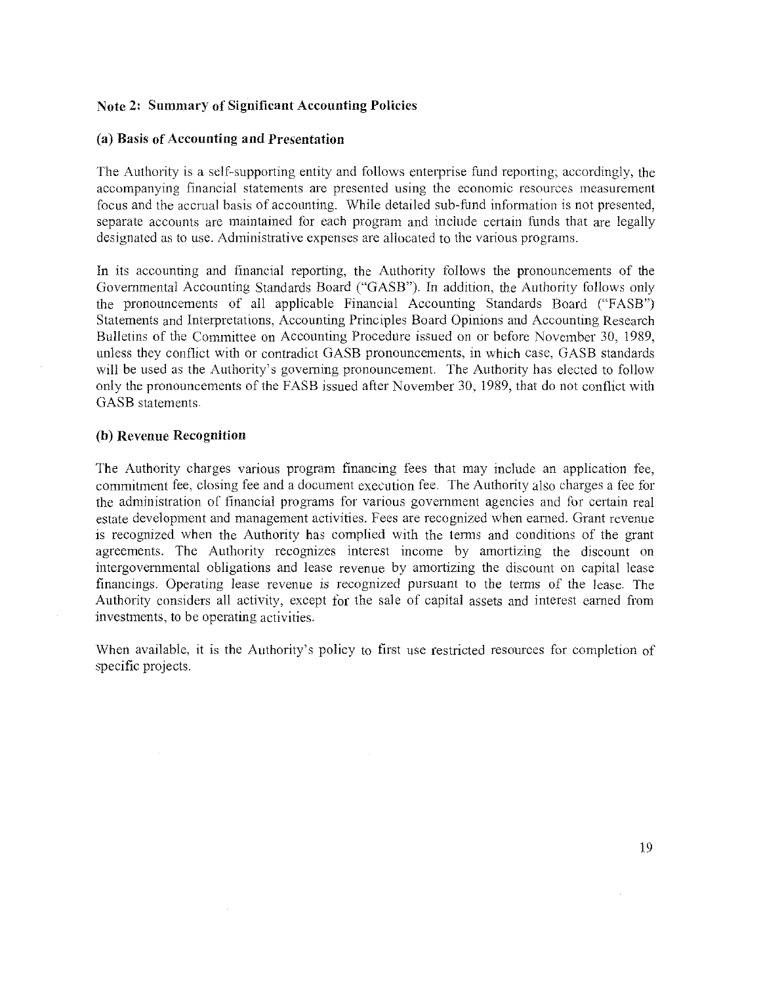### Note 2: Summary of Significant Accounting Policies

#### (a) Basis of Accounting and Presentation

The Authority is a self-supporting entity and follows enterprise fund reporting; accordingly, the accompanying financial statements are presented using the economic resources measurement focus and the accrual basis of accounting. While detailed sub-fund information is not presented, separate accounts are maintained for each program and include certain funds that are legally designated as to use, Administrative expenses are allocated to the various programs.

In its accounting and financial reporting, the Authority follows the pronouncements of the Governmental Accounting Standards Board ("GASB"). In addition, the Authority follows only the pronouncements of all applicable Financial Accounting Standards Board ("FASB") Statements and Interpretations, Accounting Principles Board Opinions and Accounting Research Bulletins of the Committee on Accounting Procedure issued on or before November 30, 1989, un'ess they conflict with or contradict GASB pronouncements, in which case, GASB standards will be used as the Authority's governing pronouncement. The Authority has elected to follow only the pronouncements of the FASB issued alter November 30, 1989, that do not conflict with GASB statements.

#### (b) Revenue Recognition

The Authority charges various program financing fees that may include an application fee, commitment fee, closing fee and a document execution fee, The Authority also charges a fee for the administration of financial programs for various government agencies and for certain real estate development and management activities. Fees are recognized when earned. Grant revenue is recognized when the Authority has complied with the terms and conditions of the grant agreements. The Authority recognizes interest income by amortizing the discount on intergovernmental obligations and lease revenue by amortizing the discount on capital lease financings. Operating lease revenue is recognized pursuant to the terms of the lease. The Authority considers all activity, except for the sale of capital assets and interest earned from investments, to be operating activities.

When available, it is the Authority's policy to first use restricted resources for completion of specific projects.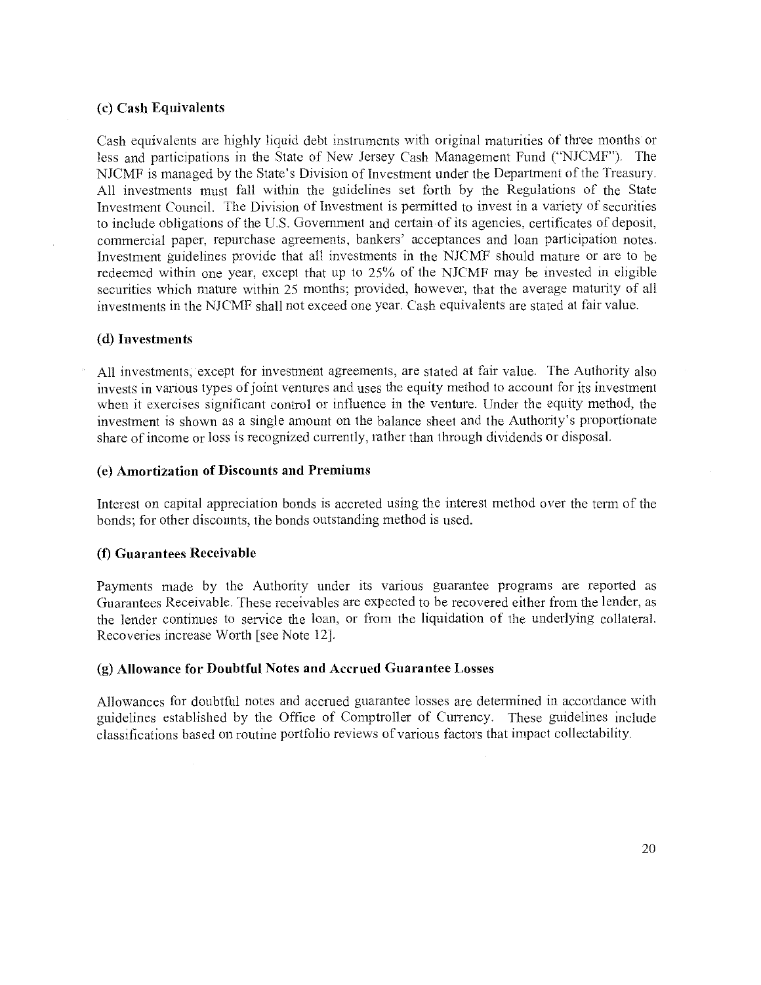## (c) Cash Equivalents

Cash equivalents are highly liquid debt instruments with original maturities of three months or less and participations in the State of New Jersey Cash Management Fund ("NJCMF"). The NJCMF is managed by the State's Division of Investment under the Department of the Treasury. All investments must fall within the guidelines set forth by the Regulations of the State Investment Council. The Division of Investment is permitted to invest in a variety of securities to include obligations of the U.S. Government and certain of its agencies, certificates of deposit, commercial paper, repurchase agreements, bankers' acceptances and loan participation notes. Investment guidelines provide that all investments in the NJCMF should mature or are to be redeemed within one year, except that up to 25% of the NJCMF may be invested in eligible securities which mature within 25 months; provided, however, that the average maturity of all investments in the NJCMF shall not exceed one year. Cash equivalents are stated at fair value.

## (d) Investments

All investments; except for investment agreements, are stated at fair value. The Authority also invests in various types of joint ventures and uses the equity method to account for its investment when it exercises significant control or influence in the venture. Under the equity method, the investment is shown as a single amount on the balance sheet and the Authority's proportionate share of income or loss is recognized currently, rather than through dividends or disposal.

### (e) Amortization of Discounts and Premiums

Interest on capital appreciation bonds is accreted using the interest method over the term of the bonds; for other discounts, the bonds outstanding method is used.

## (1) Guarantees Receivable

Payments made by the Authority under its various guarantee programs are reported as Guarantees Receivable. These receivables are expected to be recovered either from the lender, as the lender continues to service the loan, or from the liquidation of the underlying collateral. Recoveries increase Worth [see Note 12J.

## (g) Allowance for Doubtful Notes and Accrued Guarantee Losses

Allowances for doubtful notes and accrued guarantee losses are detennined in accordance with guidelines established by the Office of Comptroller of Currency. These guidelines include classifications based on routine portfolio reviews of various factors that impact collectability.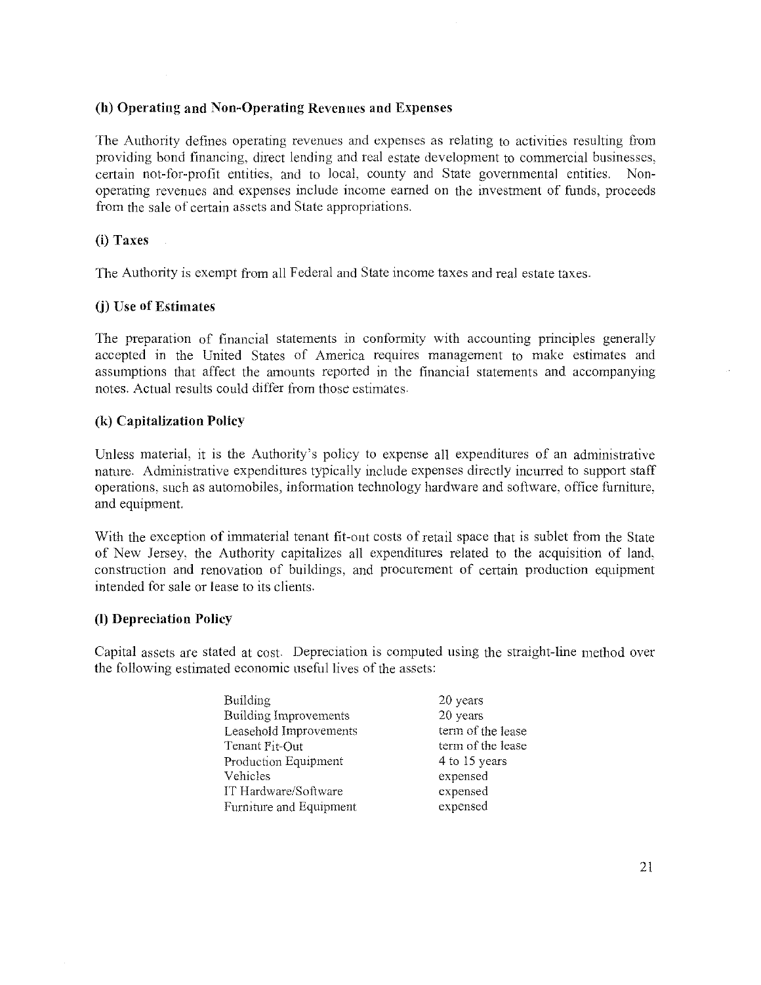## (h) Operating and Non-Operating Revenues and Expenses

The Authority defines operating revenues and expenses as relating to activities resulting from providing bond financing, direct lending and real estate development to commercial businesses, certain not-for-profit entities, and to local, county and State governmental entities. Nonoperating revenues and expenses include income earned on the investment of funds, proceeds from the sale of certain assets and State appropriations.

## (i) Taxes

The Authority is exempt from all Federal and State income taxes and real estate taxes.

## (j) Use of Estimates

The preparation of financial statements in conformity with accounting principles generally accepted in the United States of America requires management to make estimates and assumptions that affect the amounts reported in the financial statements and. accompanying notes. Actual results could differ from those estimates.

## (k) Capitalization Policy

Unless material, it is the Authority's policy to expense all expenditures of an administrative nature. Administrative expenditures typically include expenses directly incurred to support staff operations, such as automobiles, information technology hardware and software, office furniture, and equipment.

With the exception of immaterial tenant fit-out costs of retail space that is sublet from the State of New Jersey, the Authority capitalizes all expenditures related to the acquisition of land, construction and renovation of buildings, and procurement of certain production equipment intended for sale or lease to its clients.

## (1) Depreciation Policy

Capital assets are stated at cost. Depreciation is computed using the straight-line method over the following estimated economic useful lives of the assets:

| Building                | 20 years          |
|-------------------------|-------------------|
| Building Improvements   | 20 years          |
| Leasehold Improvements  | term of the lease |
| Tenant Fit-Out          | term of the lease |
| Production Equipment    | 4 to 15 years     |
| Vehicles                | expensed          |
| IT Hardware/Software    | expensed          |
| Furniture and Equipment | expensed          |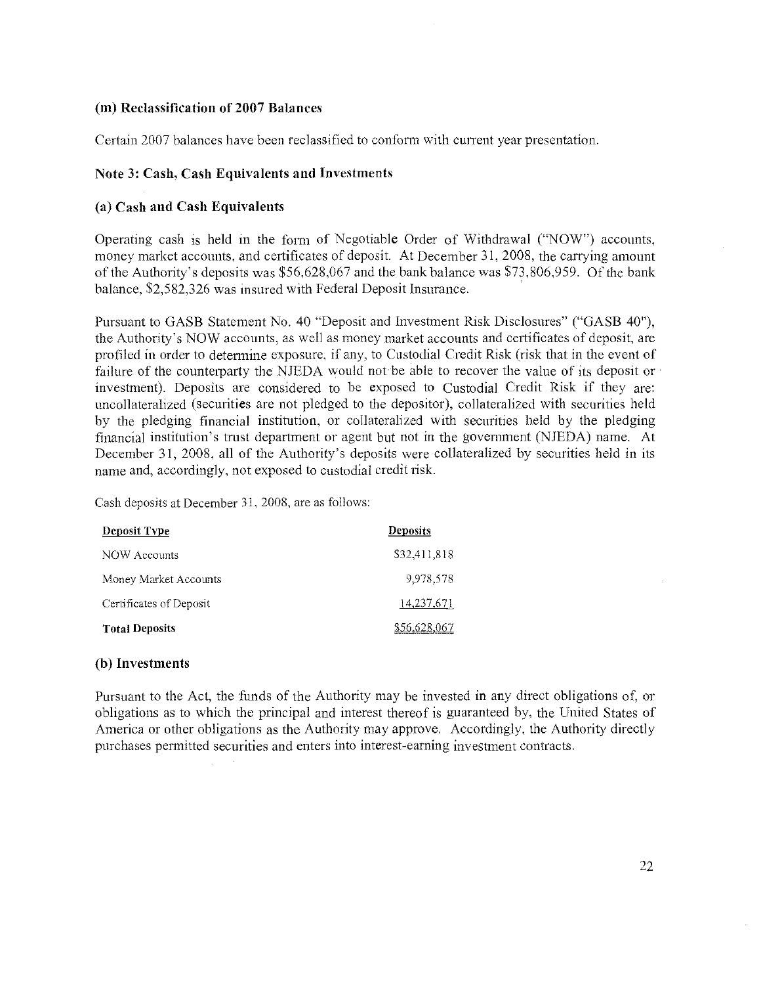## (m) Reclassification of 2007 BaLances

Certain 2007 balances have been reclassified to confonn with current year presentation.

## Note 3: Cash, Cash Equivalents and Investments

## (a) Cash and Cash Equivalents

Operating cash is held in the form of Negotiable Order of Withdrawal ("NOW") accounts, money market accounts, and certificates of deposit. At December 31, 2008, the carrying amount of the Authority's deposits was \$56,628,067 and the bank balance was \$73,806,959. Of the bank balance, \$2,582,326 was insured with Federal Deposit Insurance.

Pursuant to GASB Statement No.40 "Deposit and Investment Risk Disclosures" ("GASB 40"), the Authority's NOW accounts, as well as money market accounts and certificates of deposit, are profiled in order to determine exposure, if any, to Custodial Credit Risk (risk that in the event of failure of the counterparty the NJEDA would not be able to recover the value of its deposit or investment). Deposits are considered to be exposed to Custodial Credit Risk if they are: uncollateralized (securities are not pledged to the depositor), collateralized with securities held by the pledging financial institution, or collateralized with securities held by the pledging financial institution's trust department or agent but not in the government (NJEDA) name. At December 31, 2008, all of the Authority's deposits were collateralized by securities held in its name and, accordingly, not exposed to custodial credit risk.

Cash deposits at December 31, 2008, are as follows:

| Deposit Type            | <b>Deposits</b> |
|-------------------------|-----------------|
| NOW Accounts            | \$32,411,818    |
| Money Market Accounts   | 9,978,578       |
| Certificates of Deposit | 14,237,671      |
| <b>Total Deposits</b>   | \$56.628.067    |

#### (b) Investments

Pursuant to the Act, the fluids of the Authority may be invested in any direct obligations of, or obligations as to which the principal and interest thereof is guaranteed by, the United States of America or other obligations as the Authority may approve. Accordingly, the Authority directly purchases permitted securities and enters into interest-earning investment contracts.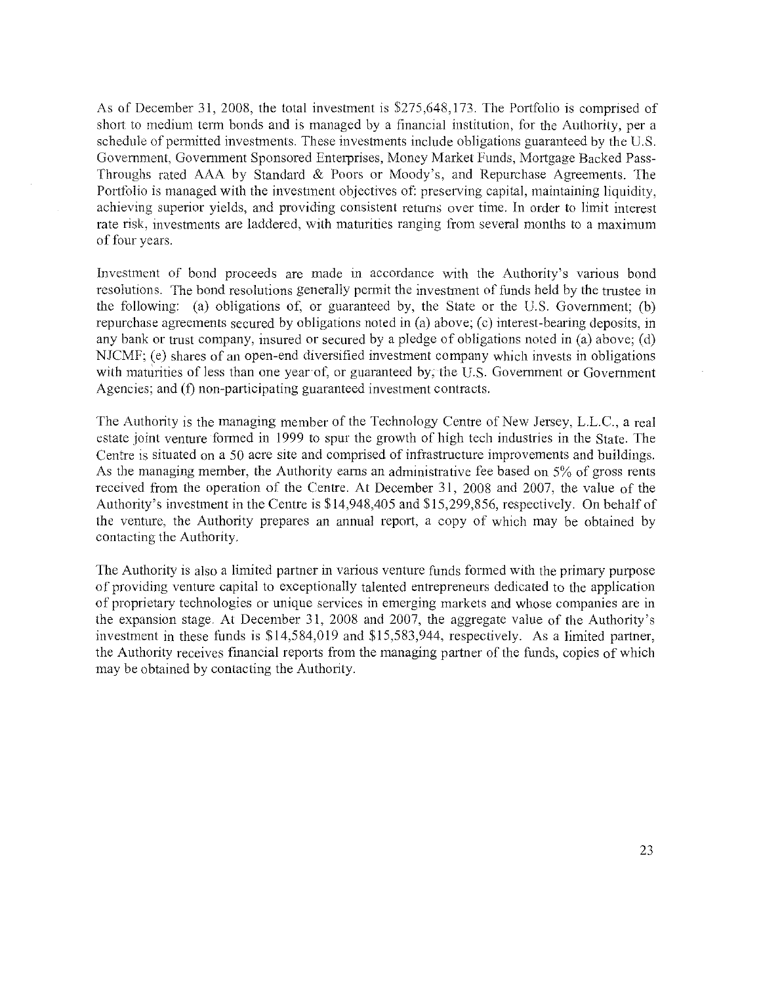As of December 31, 2008, the total investment is \$275,648,173, The Portfolio is comprised of short to medium term bonds and is managed by a financial institution, for the Authority, per a schedule of permitted investments. These investments include obligations guaranteed by the U.S. Government, Government Sponsored Enterprises, Money Market Funds, Mortgage Backed Pass-Throughs rated AAA by Standard & Poors or Moody's, and Repurchase Agreements. The Portfolio is managed with the investment objectives of: preserving capital, maintaining liquidity, achieving superior yields, and providing consistent returns over time. In order to limit interest rate risk, investments are laddered, with maturities ranging from several months to a maximum of four years.

Investment of bond proceeds are made in accordance with the Authority's various bond resolutions. The bond resolutions generally permit the investment of funds held by the trustee in the following: (a) obligations of; or guaranteed by, the State or the U.S. Government; (b) repurchase agreements secured by obligations noted in (a) above; (c) interest-bearing deposits, in any bank or trust company, insured or secured by a pledge of obligations noted in (a) above; (d) NJCMF; (e) shares of an open-end diversified investment company which invests in obligations with maturities of less than one year of, or guaranteed by; the U.S. Government or Government Agencies; and (f) non-participating guaranteed investment contracts.

The Authority is the managing member of the Technology Centre of New Jersey, L.L.C., a real estate joint venture formed in 1999 to spur the growth of high tech industries in the State. The Centre is situated on a 50 acre site and comprised of infrastructure improvements and buildings. As the managing member, the Authority earns an administrative fee based on 5% of gross rents received from the operation of the Centre. At December 31, 2008 and 2007, the value of the Authority's investment in the Centre is \$14,948,405 and \$15,299,856, respectively. On behalf of the venture, the Authority prepares an annual report, a copy of which may be obtained by contacting the Authority.

The Authority is also a limited partner in various venture funds formed with the primary purpose of providing venture capital to exceptionally talented entrepreneurs dedicated to the application of proprietary technologies or unique services in emerging markets and whose companies are in the expansion stage. At December 31, 2008 and 2007, the aggregate value of the Authority's investment in these funds is \$14,584,019 and \$15,583,944, respectively. As a limited partner, the Authority receives financial reports from the managing partner of the funds, copies of which may be obtained by contacting the Authority.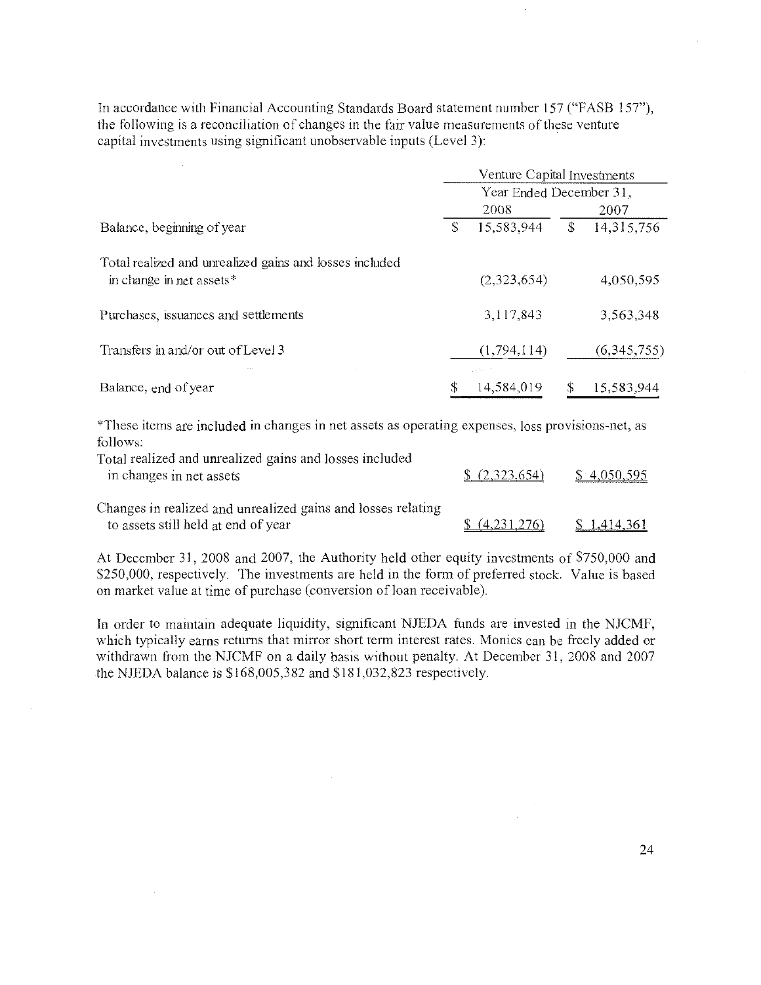In accordance with Financial Accounting Standards Board statement number 157 ("FASB 157"), the following is a reconciliation of changes in the fair value measurements of these venture capital investments using significant unobservable inputs (Level 3):

|                                                                                     | Venture Capital Investments  |                  |
|-------------------------------------------------------------------------------------|------------------------------|------------------|
|                                                                                     | Year Ended December 31,      |                  |
|                                                                                     | 2008                         | 2007             |
| Balance, beginning of year                                                          | \$<br>15,583,944             | \$<br>14,315,756 |
| Total realized and unrealized gains and losses included<br>in change in net assets* | (2,323,654)                  | 4,050,595        |
| Purchases, issuances and settlements                                                | 3,117,843                    | 3,563,348        |
| Transfers in and/or out of Level 3                                                  | (1,794,114)                  | (6,345,755)      |
| Balance, end of year                                                                | \$<br>Lista Ch<br>14,584,019 | 15,583,944       |

\*These items are included in changes in net assets as operating expenses, loss provisions-net, as follows:

| Total realized and unrealized gains and losses included<br>in changes in net assets                 | (2,323,654) | \$4,050,595        |
|-----------------------------------------------------------------------------------------------------|-------------|--------------------|
| Changes in realized and unrealized gains and losses relating<br>to assets still held at end of year | (4,231,276) | <u>\$1,414,361</u> |

At December 31, 2008 and 2007, the Authority held other equity investments of \$750,000 and \$250,000, respectively. The investments are held in the form of preferred stock. Value is based on market value at time of purchase (conversion of loan receivable).

In order to maintain adequate liquidity, significant NJEDA funds are invested in the NJCMF, which typically earns returns that mirror short term interest rates. Monies can be freely added or withdrawn from the NJCMF on a daily basis without penalty. At December 31, 2008 and 2007 the NJEDA balance is \$168,005,382 and \$181,032,823 respectively.

24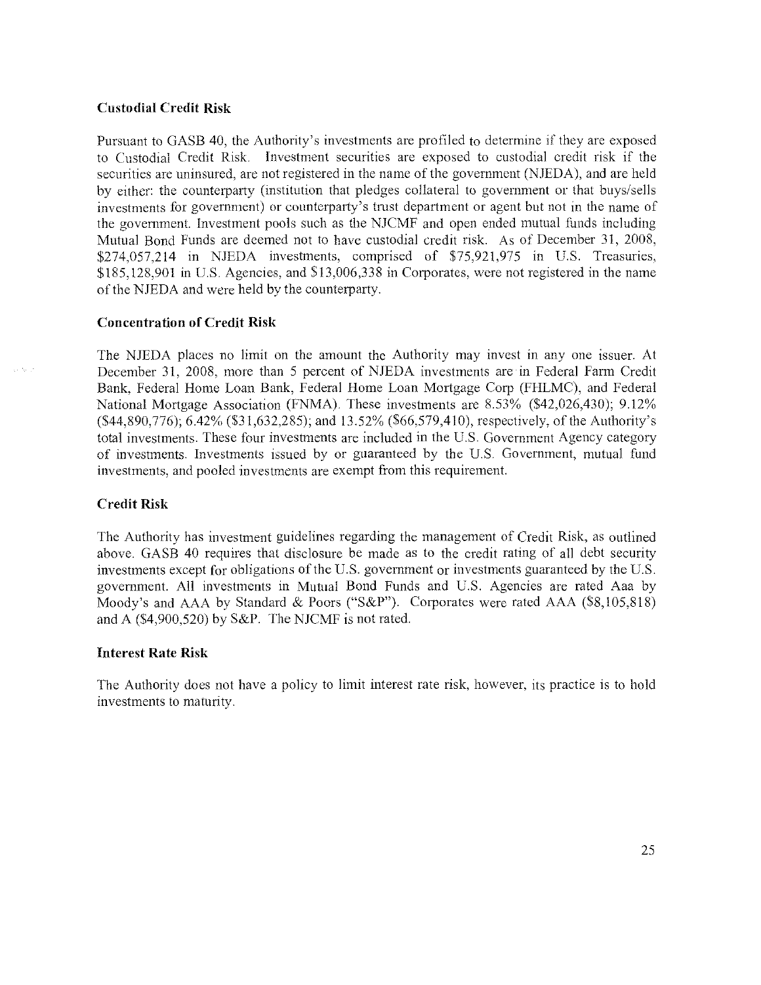## Custodial Credit Risk

Pursuant to GASB 40, the Authority's investments are profiled to determine if they are exposed to Custodial Credit Risk. Investment securities are exposed to custodial credit risk if the securities are uninsured, are not registered in the name of the government (NJEDA), and are held by either: the counterparty (institution that pledges collateral to government or that buys/sells investments for government) or counterparty's trust department or agent but not in the name of the government. Investment pools such as the NJCMF and open ended mutual funds including Mutual Bond Funds are deemed not to have custodial credit risk. As of December 31, 2008, \$274,057,214 in NJEDA investments, comprised of \$75,921,975 in U.S. Treasuries, \$185,128,901 in U.S. Agencies, and \$13,006,338 in Corporates, were not registered in the name of the NJEDA and were held by the counterparty.

## Concentration of Credit Risk

The NJEDA places no limit on the amount the Authority may invest in any one issuer. At December 31, 2008, more than 5 percent of NJEDA investments are in Federal Farm Credit Bank, Federal Home Loan Bank, Federal Home Loan Mortgage Corp (FHLMC), and Federal National Mortgage Association (FNMA). These investments are 8.53% (542,026,430); 9.12% (\$44,890,776); 6.42% (\$3 1,632,285); and 13.52% (\$66,579,410), respectively, of the Authority's total investments. These four investments are included in the U.S. Government Agency category of investments. Investments issued by or guaranteed by the U.S. Government, mutual fund investments, and pooled investments are exempt from this requirement.

## Credit Risk

 $\sqrt{2}$  ,  $\sqrt{2}$ 

The Authority has investment guidelines regarding the management of Credit Risk, as outlined above. GASB 40 requires that disclosure be made as to the credit rating of all debt security investments except for obligations of the U.S. government or investments guaranteed by the U.S. government. All investments in Mutual Bond Funds and U.S. Agencies are rated Aaa by Moody's and AAA by Standard & Poors ("S&P"). Corporates were rated AAA (\$8,105,818) and A (\$4,900,520) by S&P. The NJCMF is not rated.

## Interest Rate Risk

The Authority does not have a policy to limit interest rate risk, however, its practice is to hold investments to maturity.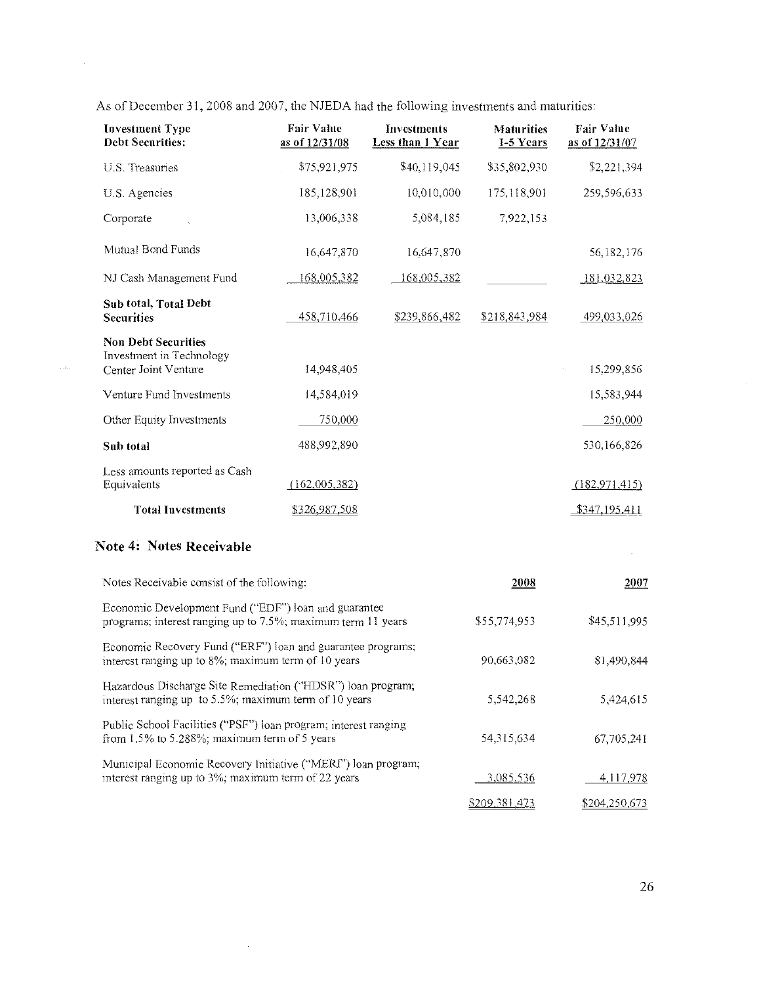As of December 31, 2008 and 2007, the NJEDA had the following investments and maturities:

 $\sim$ 

 $\langle \cdot, \cdot \rangle$ 

| <b>Investment Type</b><br><b>Debt Securities:</b>                                                                    | <b>Fair Value</b><br>as of 12/31/08 | Investments<br>Less than 1 Year | <b>Maturities</b><br>1-5 Years | Fair Value<br>as of 12/31/07 |
|----------------------------------------------------------------------------------------------------------------------|-------------------------------------|---------------------------------|--------------------------------|------------------------------|
| U.S. Treasuries                                                                                                      | \$75,921,975                        | \$40,119,045                    | \$35,802,930                   | \$2,221,394                  |
| U.S. Agencies                                                                                                        | 185,128,901                         | 10,010,000                      | 175,118,901                    | 259,596,633                  |
| Corporate                                                                                                            | 13,006,338                          | 5,084,185                       | 7,922,153                      |                              |
| Mutual Bond Funds                                                                                                    | 16,647,870                          | 16,647,870                      |                                | 56,182,176                   |
| NJ Cash Management Fund                                                                                              | 168,005,382                         | 168,005,382                     |                                | 181.032,823                  |
| Sub total, Total Debt<br><b>Securities</b>                                                                           | 458,710,466                         | \$239,866,482                   | \$218,843,984                  | 499,033.026                  |
| <b>Non Debt Securities</b><br>Investment in Technology<br>Center Joint Venture                                       | 14.948,405                          |                                 |                                | 15,299,856                   |
| Venture Fund Investments                                                                                             | 14,584,019                          |                                 |                                | 15,583,944                   |
| Other Equity Investments                                                                                             | 750,000                             |                                 |                                | 250,000                      |
| Sub total                                                                                                            | 488,992,890                         |                                 |                                | 530,166,826                  |
| Less amounts reported as Cash<br>Equivalents                                                                         | (162,005,382)                       |                                 |                                | (182, 971, 415)              |
| <b>Total Investments</b>                                                                                             | \$326,987,508                       |                                 |                                | \$347,195.411                |
| <b>Note 4: Notes Receivable</b>                                                                                      |                                     |                                 |                                |                              |
| Notes Receivable consist of the following:                                                                           |                                     |                                 | <b>2008</b>                    | 2007                         |
| Economic Development Fund ("EDF") loan and guarantee<br>programs; interest ranging up to 7.5%; maximum term 11 years |                                     |                                 | \$55,774,953                   | \$45,511,995                 |
| Economic Recovery Fund ("ERF") loan and guarantee programs;<br>interest ranging up to 8%; maximum term of 10 years   |                                     |                                 | 90,663,082                     | 81,490,844                   |
| Hazardous Discharge Site Remediation ("HDSR") loan program;<br>interest ranging up to 5.5%; maximum term of 10 years |                                     |                                 | 5,542,268                      | 5,424,615                    |
| Public School Facilities ("PSF") loan program; interest ranging<br>from $1.5\%$ to 5.288%; maximum term of 5 years   |                                     |                                 | 54,315,634                     | 67,705,241                   |
| Municipal Economic Recovery Initiative ("MERI") loan program,<br>interest ranging up to 3%; maximum term of 22 years |                                     |                                 | 3,085.536                      | 4,117,978                    |
|                                                                                                                      |                                     |                                 | \$209,381,473                  | \$204,250,673                |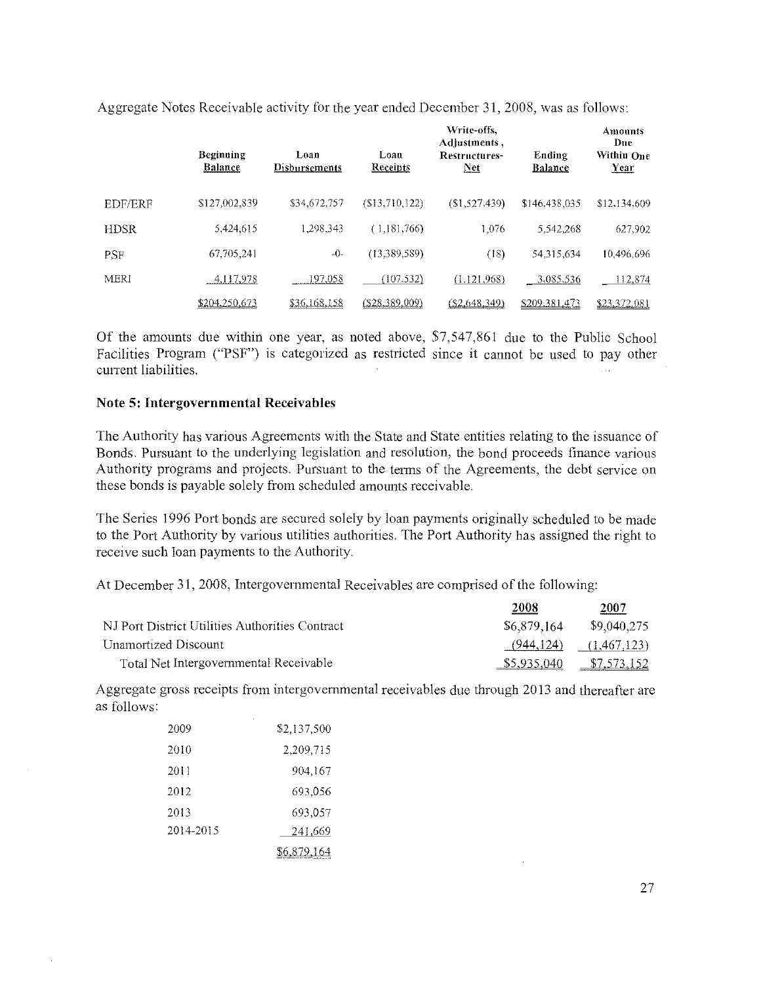|                | Beginning<br><b>Balance</b> | Loan<br><b>Disbursements</b> | Loan<br><b>Receipts</b> | Write-offs,<br>Adjustments,<br>Restructures-<br><u>Net</u> | Ending<br><b>Balance</b> | Amounts<br>Due<br>Within One<br>Year |  |
|----------------|-----------------------------|------------------------------|-------------------------|------------------------------------------------------------|--------------------------|--------------------------------------|--|
| <b>EDF/ERF</b> | \$127,002,839               | \$34,672,757                 | (S13,710,122)           | (S1.527, 439)                                              | \$146,438,035            | \$12,134,609                         |  |
| <b>HDSR</b>    | 5,424.615                   | 1.298.343                    | (1,181,766)             | 1.076                                                      | 5.542.268                | 627,902                              |  |
| <b>PSF</b>     | 67,705,241                  | $-0-$                        | (13,389,589)            | (18)                                                       | 54.315,634               | 10,496,696                           |  |
| <b>MERI</b>    | 4,117,978                   | 197,058                      | (107, 532)              | (1.121.968)                                                | 3.085,536                | 112,874                              |  |
|                | \$204,250,673               | \$36,168,158                 | (\$28,389,009)          | (S2.648.349)                                               | \$209.381.473            | \$23,372.081                         |  |

Aggregate Notes Receivable activity for the year ended December  $31, 2008$ , was as follows:

Of the amounts due within one year, as noted above, \$7,547,861 due to the Public School Facilities Program ("PSF") is categorized as restricted since it cannot be used to pay other current liabilities,

#### Note 5: Intergovernmental Receivables

The Authority has various Agreements with the State and State entities relating to the issuance of Bonds. Pursuant to the underlying legislation and resolution, the bond proceeds finance various Authority programs and projects. Pursuant to the terms of the Agreements, the debt service on these bonds is payable solely from scheduled amounts receivable.

The Series 1996 Port bonds are secured solely by loan payments originally scheduled to be made to the Port Authority by various utilities authorities. The Port Authority has assigned the right to receive such loan payments to the Authority.

At December 31, 2008, Intergovernmental Receivables are comprised of the following:

|                                                 | 2008        | 2007                        |  |
|-------------------------------------------------|-------------|-----------------------------|--|
| NJ Port District Utilities Authorities Contract | \$6,879,164 | \$9,040,275                 |  |
| Unamortized Discount                            |             | $(944, 124)$ $(1.467, 123)$ |  |
| Total Net Intergovernmental Receivable          | \$5,935,040 | \$7,573,152                 |  |

Aggregate gross receipts from intergovernmental receivables due through 2013 and thereafter are as follows:

| 2009      | \$2,137,500        |
|-----------|--------------------|
| 2010      | 2,209,715          |
| 2011      | 904,167            |
| 2012      | 693.056            |
| 2013      | 693,057            |
| 2014-2015 | 241,669            |
|           | <u>\$6,879,164</u> |

 $\hat{\mathbf{r}}$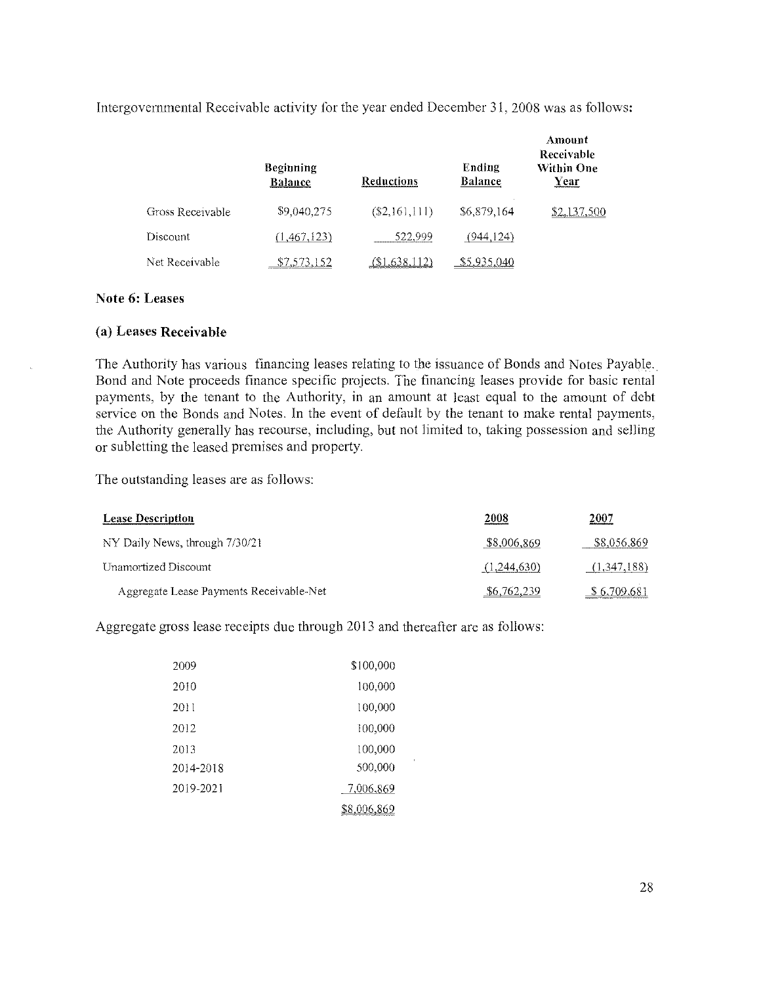Intergovernmental Receivable activity for the year ended December 31, 2008 was as follows:

|                  | Beginning<br><b>Balance</b> | <b>Reductions</b> | Ending<br><b>Balance</b> | Amount<br>Receivable<br><b>Within One</b><br>Year |
|------------------|-----------------------------|-------------------|--------------------------|---------------------------------------------------|
| Gross Receivable | \$9,040,275                 | $(\$2,161,111)$   | \$6,879,164              | \$2,137,500                                       |
| Discount         | (1,467,123)                 | 522.999           | (944, 124)               |                                                   |
| Net Receivable   | .573,152                    | (.638,112)        | <u>\$5,935,040</u>       |                                                   |

### Note 6: Leases

### (a) Leases Receivable

The Authority has various financing leases relating to the issuance of Bonds and Notes Payable., Bond and Note proceeds finance specific projects. The financing leases provide for basic rental payments, by the tenant to the Authority, in an amount at least equal to the amount of debt service on the Bonds and Notes. In the event of default by the tenant to make rental payments, the Authority generally has recourse, including, but not limited to, taking possession and selling or subletting the leased premises and property.

The outstanding leases are as follows:

| <b>Lease Description</b>                | 2008        | <u> 2007</u> |
|-----------------------------------------|-------------|--------------|
| NY Daily News, through 7/30/21          | \$8,006,869 | \$8,056,869  |
| Unamortized Discount                    | (1,244,630) | (1,347,188)  |
| Aggregate Lease Payments Receivable-Net | \$6,762,239 | \$6.709.681  |

Aggregate gross lease receipts due through 2013 and thereafter are as follows:

| 2009      | \$100,000          |
|-----------|--------------------|
| 2010      | 100,000            |
| 2011      | 100,000            |
| 2012      | 100,000            |
| 2013      | 100,000            |
| 2014-2018 | s<br>500,000       |
| 2019-2021 | 7,006,869          |
|           | <u>\$8,006,869</u> |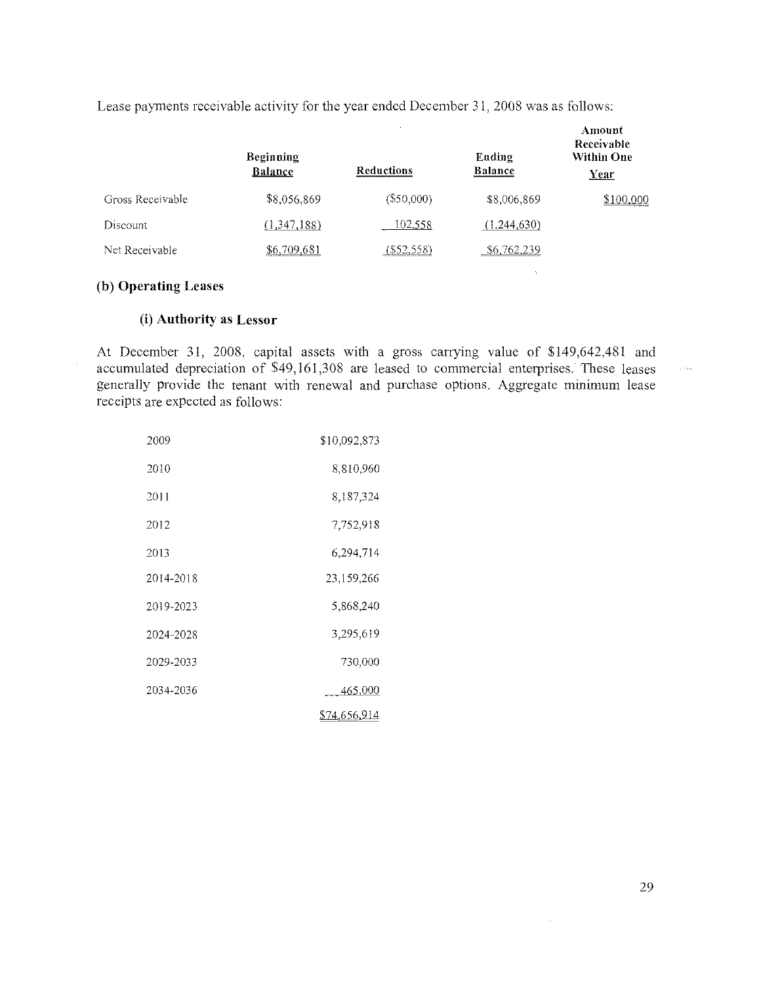Lease payments receivable activity for the year ended December 31, 2008 was as follows:

|                  | <b>Beginning</b><br><b>Balance</b> | Reductions    | Ending<br><b>Balance</b> | Amount<br>Receivable<br>Within One<br>Year |
|------------------|------------------------------------|---------------|--------------------------|--------------------------------------------|
| Gross Receivable | \$8,056,869                        | $(\$50,000)$  | \$8,006,869              | \$100,000                                  |
| Discount         | (1,347,188)                        | 102,558       | (1,244,630)              |                                            |
| Net Receivable   | \$6,709,681                        | $($ \$52,558) | \$6,762,239              |                                            |

 $\ddot{\phantom{a}}$ 

### (b) Operating Leases

 $\hat{\boldsymbol{\beta}}$ 

 $\sim$ 

## (i) Authority as Lessor

At December 31, 2008, capital assets with a gross carrying value of \$149,642,481 and accumulated depreciation of \$49,161,308 are leased to commercial enterprises. These leases generally provide the tenant with renewal and purchase options. Aggregate minimum lease receipts are expected as follows:

| 2009      | \$10,092,873        |
|-----------|---------------------|
| 2010      | 8,810,960           |
| 2011      | 8.187,324           |
| 2012      | 7,752,918           |
| 2013      | 6.294,714           |
| 2014-2018 | 23,159,266          |
| 2019-2023 | 5,868,240           |
| 2024-2028 | 3,295,619           |
| 2029-2033 | 730,000             |
| 2034-2036 | 465,000             |
|           | <u>\$74,656,914</u> |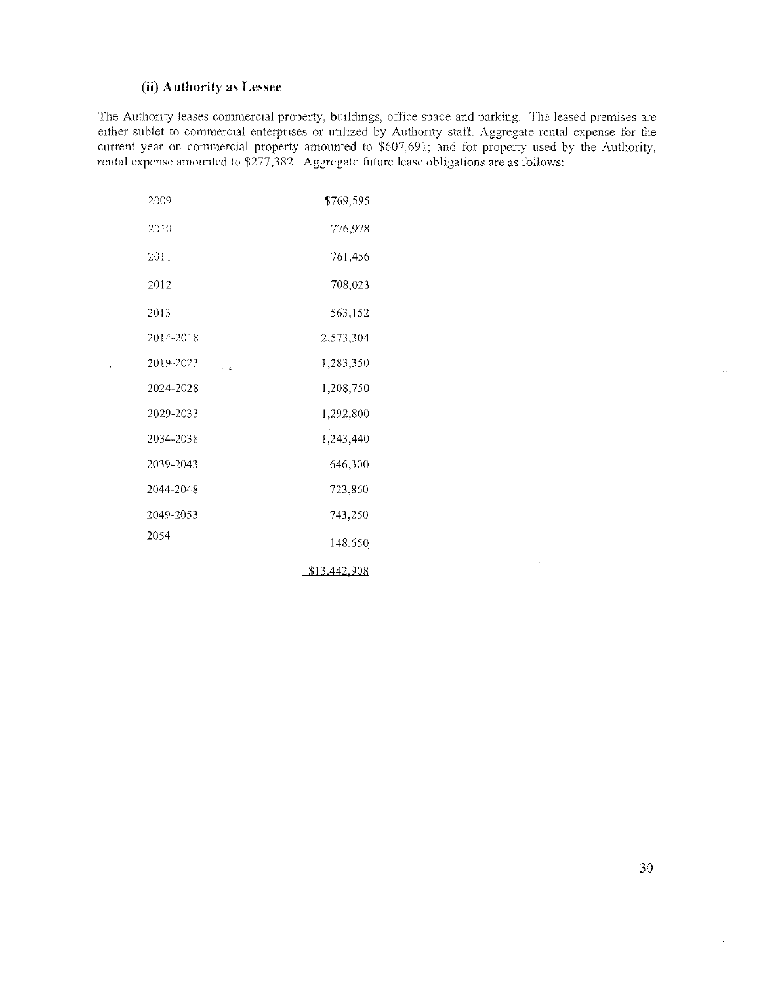# (ii) Authority as Lessee

The Authority leases commercial property, buildings, office space and parking. The leased premises are either sublet to commercial enterprises or utilized by Authority staff Aggregate rental expense for the current year on commercial property amounted to \$607,691; and for property used by the Authority, rental expense amounted to \$277,382. Aggregate future lease obligations are as follows:

| 2009                      | \$769,595           |
|---------------------------|---------------------|
| 2010                      | 776,978             |
| 2011                      | 761,456             |
| 2012                      | 708,023             |
| 2013                      | 563,152             |
| 2014-2018                 | 2,573,304           |
| 2019-2023<br>$\sqrt{2}$ . | 1,283,350           |
| 2024-2028                 | 1,208,750           |
| 2029-2033                 | 1,292,800           |
| 2034-2038                 | 1,243,440           |
| 2039-2043                 | 646,300             |
| 2044-2048                 | 723,860             |
| 2049-2053                 | 743,250             |
| 2054                      | <u>148,650</u>      |
|                           | <u>\$13,442,908</u> |

 $\sim 10^6$ 

 $\frac{1}{2}$ 

30

 $\bar{z}$ 

 $\hat{\rho}$  , we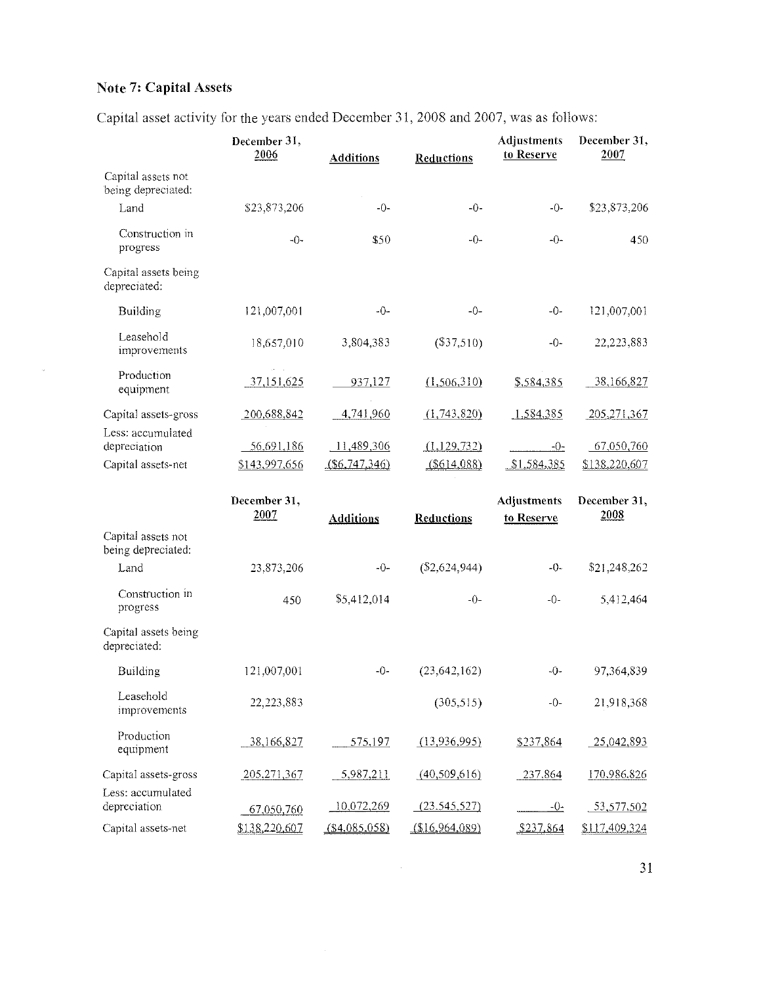# Note 7: Capital Assets

 $\sim$ 

Capital asset activity for the years ended December31, 2008 and 2007, was as follows:

|                                          | December 31,<br>2006                    | <b>Additions</b> | <b>Reductions</b> | Adjustments<br>to Reserve | December 31,<br>2007 |  |
|------------------------------------------|-----------------------------------------|------------------|-------------------|---------------------------|----------------------|--|
| Capital assets not<br>being depreciated: |                                         |                  |                   |                           |                      |  |
| Land                                     | \$23,873,206                            | $-0-$            | $-()$ -           | $-0-$                     | \$23,873,206         |  |
| Construction in<br>progress              | $-0-$                                   | \$50             | $-()$ -           | $-()$ -                   | 450                  |  |
| Capital assets being<br>depreciated:     |                                         |                  |                   |                           |                      |  |
| <b>Building</b>                          | 121,007,001                             | $-0-$            | $-0-$             | $-0-$                     | 121,007,001          |  |
| Leasehold<br>improvements                | 18,657,010                              | 3,804,383        | $(\$37,510)$      | $-0-$                     | 22,223,883           |  |
| Production<br>equipment                  | $\alpha\in\mathbb{R}^n$ .<br>37,151,625 | 937,127          | (1,506,310)       | \$,584,385                | 38,166,827           |  |
| Capital assets-gross                     | 200,688,842                             | 4,741,960        | (1,743,820)       | 1,584,385                 | 205,271,367          |  |
| Less: accumulated<br>depreciation        | 56,691,186                              | 11,489,306       | (1,129,732)       | $-0-$                     | 67,050,760           |  |
| Capital assets-net                       | \$143,997,656                           | $($ \$6,747,346) | $($ \$614,088)    | \$1,584,385               | \$138,220,607        |  |
|                                          |                                         |                  |                   |                           |                      |  |
|                                          | December 31,<br>2007                    |                  |                   | <b>Adjustments</b>        | December 31,<br>2008 |  |
| Capital assets not<br>being depreciated: |                                         | <b>Additions</b> | <b>Reductions</b> | to Reserve                |                      |  |
| Land                                     | 23,873,206                              | $-0-$            | $(\$2,624,944)$   | $-0-$                     | \$21,248,262         |  |
| Construction in<br>progress              | 450                                     | \$5,412,014      | $-()$ -           | $-()$ -                   | 5,412,464            |  |
| Capital assets being<br>depreciated:     |                                         |                  |                   |                           |                      |  |
| Building                                 | 121,007,001                             | $-0-$            | (23, 642, 162)    | $-0-$                     | 97,364,839           |  |
| Leasehold<br>improvements                | 22,223,883                              |                  | (305,515)         | $-0-$                     | 21,918,368           |  |
| Production<br>equipment                  | 38,166,827                              | 575,197          | (13,936,995)      | \$237,864                 | 25,042,893           |  |
| Capital assets-gross                     | 205,271,367                             | 5,987,211        | (40,509,616)      | 237,864                   | 170,986,826          |  |
| Less: accumulated<br>depreciation        | 67,050,760                              | 10,072,269       | (23.545, 527)     | $-0-$                     | 53,577,502           |  |

 $\sim$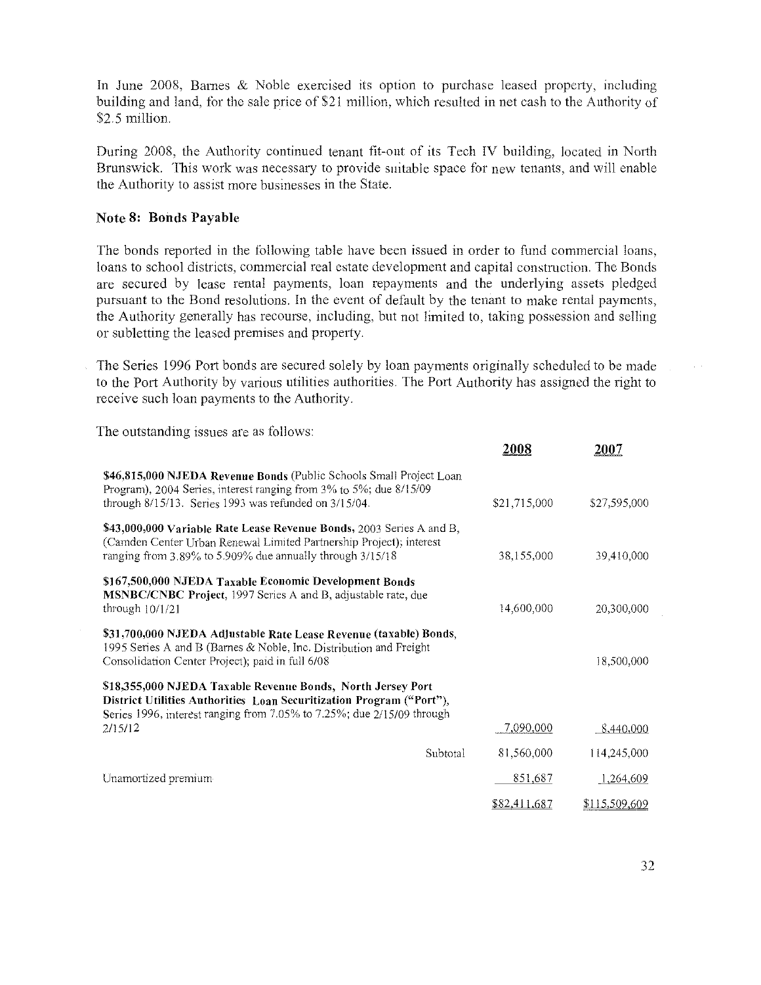In June 2008, Barnes & Noble exercised its option to purchase leased property, including building and land, for the sale price of \$21 million, which resulted in net cash to the Authority of \$2.5 million.

During 2008, the Authority continued tenant fit-out of its Tech IV building, located in North Brunswick. This work was necessary to provide suitable space for new tenants, and will enable the Authority to assist more businesses in the State.

### Note 8: Bonds Payable

The bonds reported in the following table have been issued in order to fund commercial loans, loans to school districts, commercial real estate development and capital construction. The Bonds are secured by lease rental payments, loan repayments and the underlying assets pledged pursuant to the Bond resolutions. In the event of default by the tenant to make rental payments, the Authority generally has recourse, including, hut not limited to, taking possession and selling or subletting the leased premises and property.

The Series 1996 Port bonds are secured solely by loan payments originally scheduled to be made to the Port Authority by various utilities authorities, The Port Authority has assigned the right to receive such loan payments to the Authority.

The outstanding issues are as follows:

|                                                                                                                                                                                                                  | ∠∪∪o     |              | 2007                 |
|------------------------------------------------------------------------------------------------------------------------------------------------------------------------------------------------------------------|----------|--------------|----------------------|
| \$46,815,000 NJEDA Revenue Bonds (Public Schools Small Project Loan<br>Program), 2004 Series, interest ranging from 3% to 5%; due 8/15/09<br>through $8/15/13$ . Series 1993 was refunded on $3/15/04$ .         |          | \$21,715,000 | \$27,595,000         |
| \$43,000,000 Variable Rate Lease Revenue Bonds, 2003 Series A and B,<br>(Camden Center Urban Renewal Limited Partnership Project); interest<br>ranging from $3.89\%$ to $5.909\%$ due annually through $3/15/18$ |          | 38,155,000   | 39,410,000           |
| \$167,500,000 NJEDA Taxable Economic Development Bonds<br><b>MSNBC/CNBC Project, 1997 Series A and B, adjustable rate, due</b><br>through $10/1/21$                                                              |          | 14,600,000   | 20,300,000           |
| \$31,700,000 NJEDA Adjustable Rate Lease Revenue (taxable) Bonds,<br>1995 Series A and B (Barnes & Noble, Inc. Distribution and Freight<br>Consolidation Center Project), paid in full 6/08                      |          |              | 18,500,000           |
| \$18,355,000 NJEDA Taxable Revenne Bonds, North Jersey Port<br>District Utilities Authorities Loan Securitization Program ("Port"),<br>Series 1996, interest ranging from 7.05% to 7.25%; due 2/15/09 through    |          |              |                      |
| 2/15/12                                                                                                                                                                                                          |          | 7,090.000    | 8,440,000            |
|                                                                                                                                                                                                                  | Subtotal | 81,560,000   | 114,245,000          |
| Unamortized premium                                                                                                                                                                                              |          | 851,687      | 1,264,609            |
|                                                                                                                                                                                                                  |          | \$82,411.687 | <u>\$115,509,609</u> |

2007

2009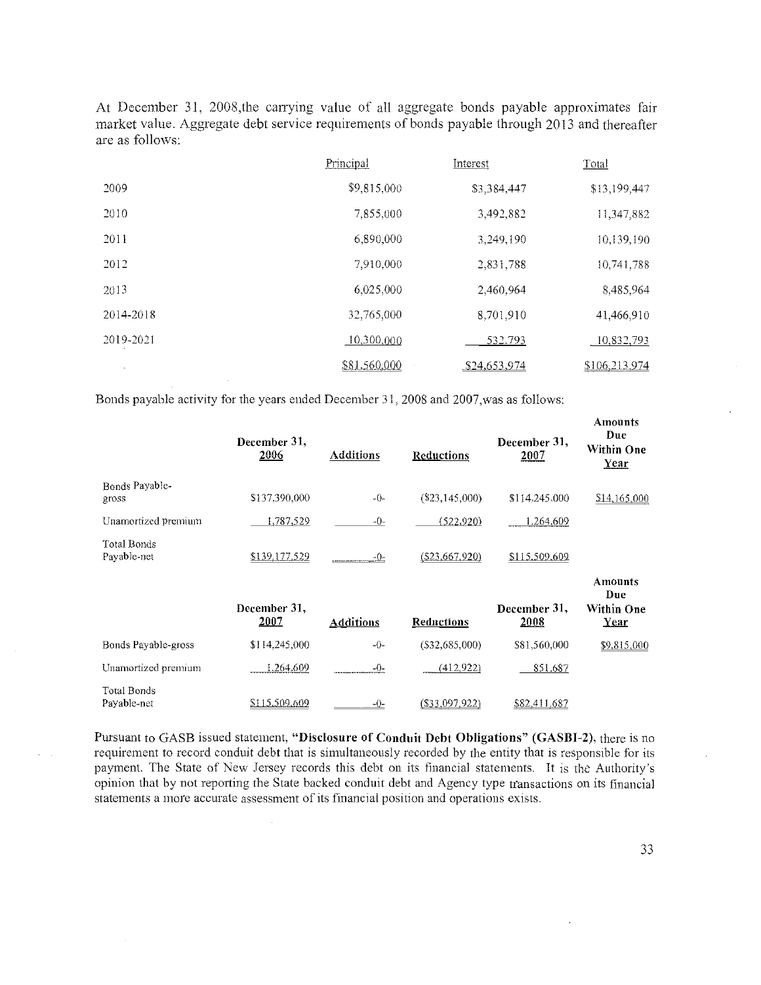At December 31, 2008,the carrying value of all aggregate bonds payable approximates fair market value. Aggregate debt service requirements of bonds payable through 2013 and thereafter are as follows:

|                             | Principal    | <b>Interest</b> | Total         |  |
|-----------------------------|--------------|-----------------|---------------|--|
| 2009                        | \$9,815,000  | \$3,384,447     | \$13,199,447  |  |
| 2010                        | 7,855,000    | 3,492,882       | 11,347,882    |  |
| 2011                        | 6,890,000    | 3,249,190       | 10,139,190    |  |
| 2012                        | 7,910,000    | 2,831,788       | 10,741,788    |  |
| 2013                        | 6,025,000    | 2,460,964       | 8,485,964     |  |
| 2014-2018                   | 32,765,000   | 8,701,910       | 41,466,910    |  |
| 2019-2021                   | 10,300,000   | 532,793         | 10,832,793    |  |
| $\mathcal{A}_{\mathcal{A}}$ | \$81,560,000 | \$24,653,974    | \$106,213,974 |  |

Bonds payable activity for the years ended December 31, 2008 and 2007,was as follows:

|                            | December 31.<br>2006 | <b>Additions</b> | <b>Reductions</b>     | December 31.<br>2007 | <b>Amounts</b><br>Due<br><b>Within One</b><br><u>Year</u> |
|----------------------------|----------------------|------------------|-----------------------|----------------------|-----------------------------------------------------------|
| Bonds Payable-<br>gross    | \$137.390,000        | $-0-$            | $(\$23,145,000)$      | \$114.245,000        | \$14,165,000                                              |
| Unamortized premium        | 1.787,529            | $-0-$            | (522, 920)            | 1.264.609            |                                                           |
| Total Bonds<br>Payable-net | \$139,177,529        | $-0-$            | $($ \$23,667,920)     | \$115,509,609        |                                                           |
|                            | December 31.<br>2007 | <b>Additions</b> | Reductions            | December 31.<br>2008 | <b>Amounts</b><br>Due<br>Within One<br><u>Year</u>        |
| Bonds Payable-gross        | \$114,245,000        | $-0-$            | (532, 685, 000)       | \$81,560,000         | \$9,815,000                                               |
| Unamortized premium        | 1.264.609            | $-0-$            | (412,922)             | 851.687              |                                                           |
| Total Bonds<br>Payable-net | \$115,509,609        | -0-              | <u>(\$33,097,922)</u> | <u>\$82,411.687</u>  |                                                           |

Pursuant to GASH issued statement, "Disclosure of Conduit Debt Obligations" (GASBI-2), there is no requirement to record conduit debt that is simultaneously recorded by the entity that is responsible for its payment. The State of New Jersey records this debt on its financial statements. It is the Authority's opinion that by not reporting the State backed conduit debt and Agency type transactions on its financial statements a more accurate assessment of its financial position and operations exists.

33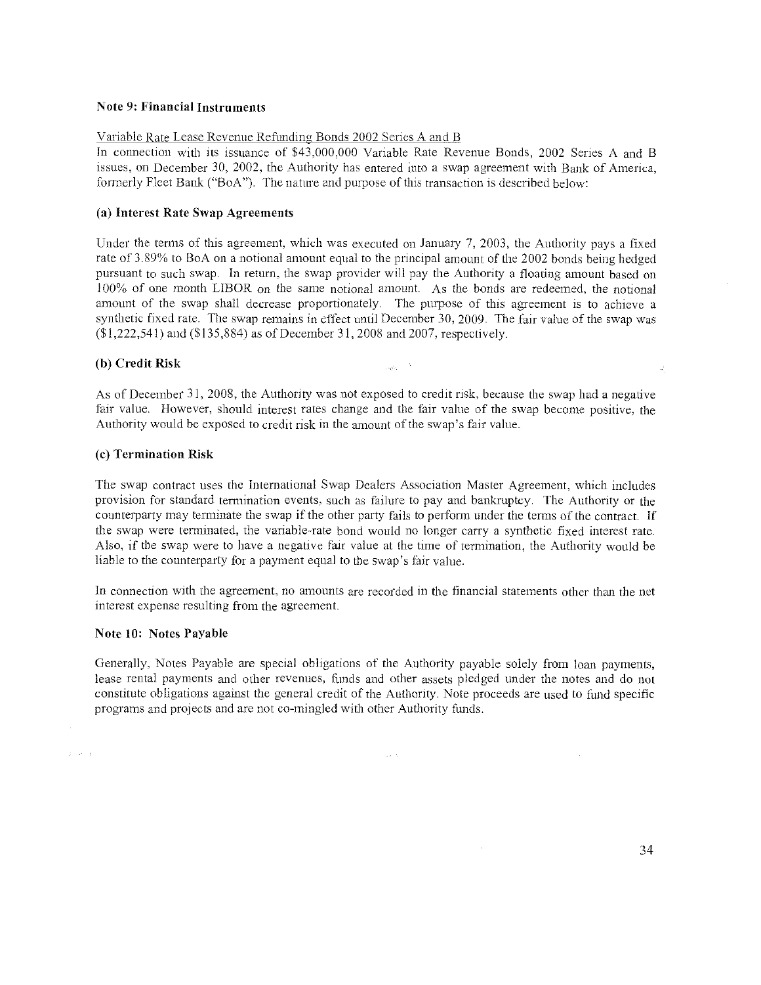#### Note 9: Financial Instruments

#### Variable Rate Lease Revenue Refunding Bonds 2002 Series A and B

In connection with its issuance of \$43,000,000 Variable Rate Revenue Bonds, 2002 Series A and B issues, on December 30, 2002, the Authority has entered into a swap agreement with Bank of America, formerly Fleet Bank ("BoA"). The nature and purpose of this transaction is described below:

#### (a) Jnterest Rate Swap Agreements

Under the terms of this agreement, which was executed on January 7, 2003, the Authority pays a fixed rate of 3,89% to BoA on a notional amount equal to the principal amount of the 2002 bonds being hedged pursuant to such swap. In return, the swap provider will pay the Authority a floating amount based on 100% of one month LIBOR on the same notional amount. As the bonds are redeemed, the notional amount of the swap shall decrease proportionately. The purpose of this agreement is to achieve a synthetic fixed rate. The swap remains in effect until December 30, 2009. The fair value of the swap was  $(1,222,541)$  and  $(135,884)$  as of December 31, 2008 and 2007, respectively.

#### (b) Credit Risk

As of December 31, 2008, the Authority was not exposed to credit risk, because the swap had a negative fair value. However, should interest rates change and the fair value of the swap become positive, the Authority would be exposed to credit risk in the amount of the swap's fair value.

#### (c) Termination Risk

The swap contract uses the International Swap Dealers Association Master Agreement, which includes provision for standard termination events, such as failure to pay and bankruptcy. The Authority or the counterparty may terminate the swap if the other party fails to perform under the tenns of the contract. If the swap were terminated, the variable-rate bond would no longer catty a synthetic fixed interest rate. Also, if the swap were to have a negative fair value at the time of termination, the Authority would be liable to the counterparty for a payment equal to the swap's lair value.

In connection with the agreement, no amounts are recorded in the financial statements other than the net interest expense resulting from the agreement.

#### Note 10: Notes Payable

 $\hat{x}=\hat{x}=\hat{x}$ 

Generally, Notes Payable are special obligations of the Authority payable solely from loan payments, lease rental payments and other revenues, funds and other assets pledged under the notes and do not constitute obligations against the general credit of the Authority. Note proceeds are used to fund specific programs and projects and are not co-mingled with other Authority funds.

 $\omega \neq \infty$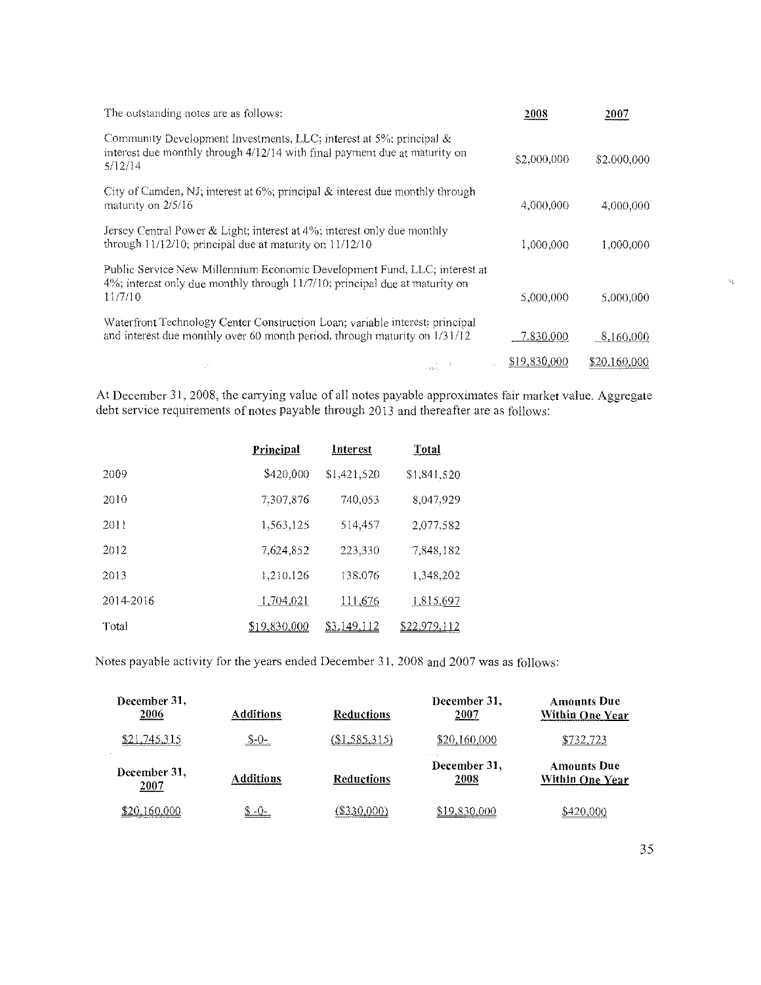| The outstanding notes are as follows:                                                                                                                               | 2008         | 2007         |  |
|---------------------------------------------------------------------------------------------------------------------------------------------------------------------|--------------|--------------|--|
| Community Development Investments, LLC; interest at 5%; principal &<br>interest due monthly through 4/12/14 with final payment due at maturity on<br>5/12/14        | \$2,000,000  | \$2,000,000  |  |
| City of Camden, NJ; interest at 6%; principal & interest due monthly through<br>maturity on 2/5/16                                                                  | 4,000,000    | 4,000,000    |  |
| Jersey Central Power & Light; interest at $4\%$ ; interest only due monthly<br>through $11/12/10$ ; principal due at maturity on $11/12/10$                         | 1,000,000    | 1,000,000    |  |
| Public Service New Millennium Economic Development Fund, LLC; interest at<br>4%; interest only due monthly through 11/7/10; principal due at maturity on<br>11/7/10 | 5,000,000    | 5,000,000    |  |
| Waterfront Technology Center Construction Loan; variable interest; principal<br>and interest due monthly over 60 month period, through maturity on $1/31/12$        | 7.830,000    | 8,160,000    |  |
| and the con-                                                                                                                                                        | \$19,830,000 | \$20,160,000 |  |

At December 31, 2008, the carrying value of all notes payable approximates fair market value. Aggregate debt service requirements of notes payable through 2013 and thereafter are as follows:

|           | <u>Principal</u> | Interest    | <b>Total</b> |  |
|-----------|------------------|-------------|--------------|--|
| 2009      | \$420,000        | \$1,421,520 | \$1,841,520  |  |
| 2010      | 7,307,876        | 740,053     | 8.047.929    |  |
| 2011      | 1,563,125        | 514,457     | 2,077,582    |  |
| 2012      | 7,624,852        | 223,330     | 7,848,182    |  |
| 2013      | 1,210,126        | 138,076     | 1.348,202    |  |
| 2014-2016 | 1,704,021        | 111,676     | 1,815,697    |  |
| Total     | \$19,830,000     | \$3,149,112 | \$22,979,112 |  |

Notes payable activity for the years ended December 31, 2008 and 2007 was as follows:

| December 31,<br>2006 | <b>Additions</b> | <b>Reductions</b> | December 31.<br><u> 2007 </u>         | <b>Amounts Due</b><br><b>Within One Year</b> |
|----------------------|------------------|-------------------|---------------------------------------|----------------------------------------------|
| \$21,745,315         | $S - Q -$        | (\$1,585,315)     | \$20,160,000                          | \$732,723                                    |
| December 31,<br>2007 | Additions        | Reductions        | 100000<br>December 31,<br><u>2008</u> | <b>Amounts Due</b><br>Within One Year        |
| \$20.160.000         | \$-0-            | (\$330,000)       | \$19,830,000                          | \$420,000                                    |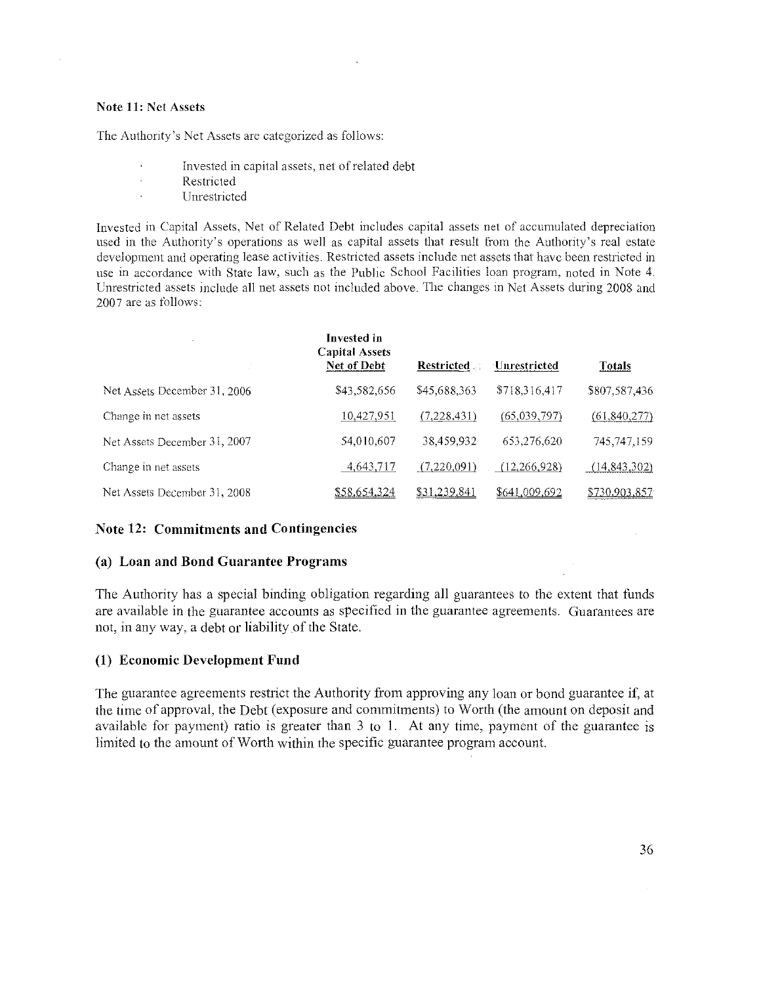#### Note 11: Net Assets

The Authority's Net Assets are categorized as follows:

- Invested in capital assets, net of related debt
- Restricted
- Unrestricted

Invested in Capital Assets, Net of Related Debt includes capital assets net of accumulated depreciation used in the Authority's operations as well as capital assets that result from the Authority's real estate development and operating lease activities. Restricted assets include net assets that have been restricted in use in accordance with State law, such as the Public School Facilities loan program, noted in Note 4. Unrestricted assets include all net assets not included above. The changes in Net Assets during 2008 and 2007 are as follows:

|                              | Invested in<br><b>Capital Assets</b><br>Net of Debt | <b>Restricted</b> | Unrestricted  | <b>Totals</b>  |  |
|------------------------------|-----------------------------------------------------|-------------------|---------------|----------------|--|
| Net Assets December 31, 2006 | \$43,582,656                                        | \$45,688,363      | \$718.316.417 | \$807,587,436  |  |
| Change in net assets         | 10,427,951                                          | (7,228,431)       | (65,039,797)  | (61, 840, 277) |  |
| Net Assets December 31, 2007 | 54,010,607                                          | 38,459,932        | 653,276,620   | 745,747,159    |  |
| Change in net assets         | 4,643,717                                           | (7.220.091)       | (12.266.928)  | (14, 843, 302) |  |
| Net Assets December 31, 2008 | \$58,654,324                                        | \$31,239,841      | \$641,009,692 | \$730,903,857  |  |

## Note 12: Commitments and Contingencies

## (a) Loan and Bond Guarantee Programs

The Authority has a special binding obligation regarding all guarantees to the extent that funds are available in the guarantee accounts as specified in the guarantee agreements. Guarantees are not, in any way, a debt or liability of the State.

## (1) Economic Development Fund

The guarantee agreements restrict the Authority from approving any loan or bond guarantee if, at the time of approval, the Debt (exposure and commitments) to Worth (the amount on deposit and available for payment) ratio is greater than 3 to 1. At any time, payment of the guarantee is limited to the amount of Worth within the specific guarantee program account.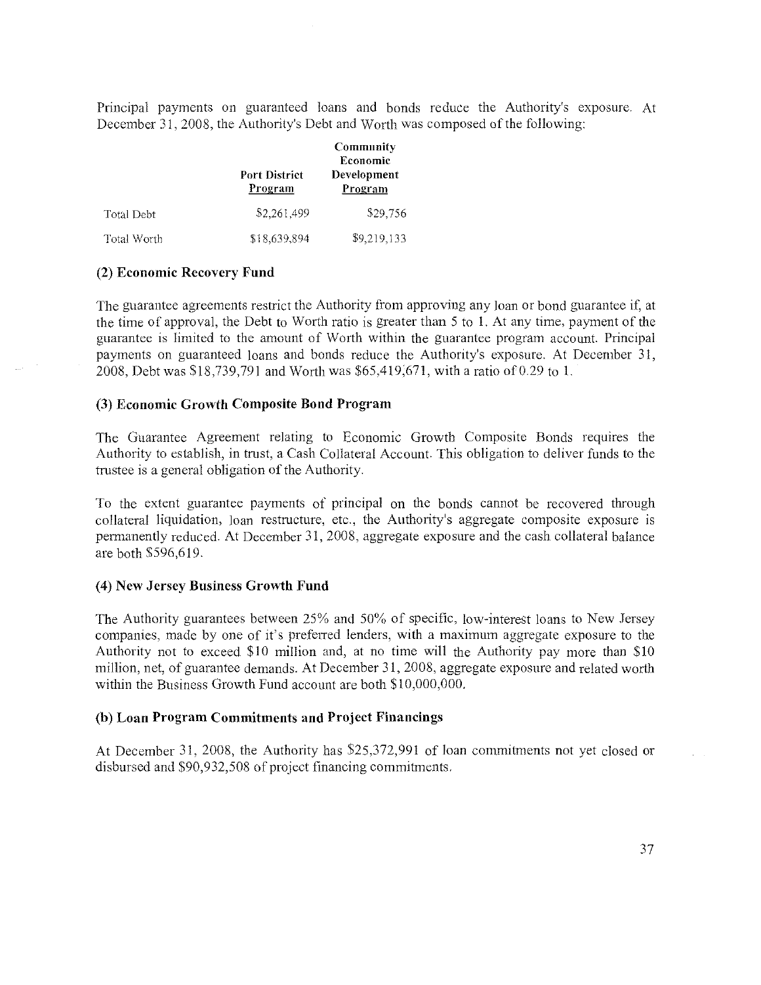Principal payments on guaranteed loans and bonds reduce the Authoritys exposure. At December 31, 2008, the Authority's Debt and Worth was composed of the following:

|             | <b>Port District</b><br>Program | Community<br>Economic<br>Development<br>Program |  |
|-------------|---------------------------------|-------------------------------------------------|--|
| Total Debt  | \$2,261,499                     | \$29,756                                        |  |
| Total Worth | \$18,639,894                    | \$9,219,133                                     |  |

### (2) Economic Recovery Fund

The guarantee agreements restrict the Authority from approving any loan or bond guarantee if; at the time of approval, the Debt to Worth ratio is greater than 5 to 1. At any time, payment of the guarantee is limited to the amount of Worth within the guarantee program account. Principal payments on guaranteed loans and bonds reduce the Authority's exposure. At December 31, 2008, Debt was \$18,739,791 and Worth was \$65,419,671, with a ratio of 0.29 to 1.

### (3) Economic Growth Composite Bond Program

The Guarantee Agreement relating to Economic Growth Composite Bonds requires the Authority to establish, in trust, a Cash Collateral Account. This obligation to deliver funds to the trustee is a general obligation of the Authority.

To the extent guarantee payments of principal on the bonds cannot be recovered through collateral liquidation, loan restructure, etc., the Authority's aggregate composite exposure is permanently reduced. At December 31, 2008, aggregate exposure and the cash collateral balance are both S596,619.

#### (4) New Jersey Business Growth Fund

The Authority guarantees between 25% and 50% of specific, low-interest loans to New Jersey companies, made by one of it's preferred lenders, with a maximum aggregate exposure to the Authority not to exceed \$10 million and, at no time will the Authority pay more than \$10 million, net, of guarantee demands. At December 31, 2008, aggregate exposure and related worth within the Business Growth Fund account are both \$10,000,000.

#### (h) Loan Program Commitments and Project Financings

At December 31, 2008, the Authority has \$25,372,991 of loan commitments not yet closed or disbursed and \$90,932,508 of project financing commitments,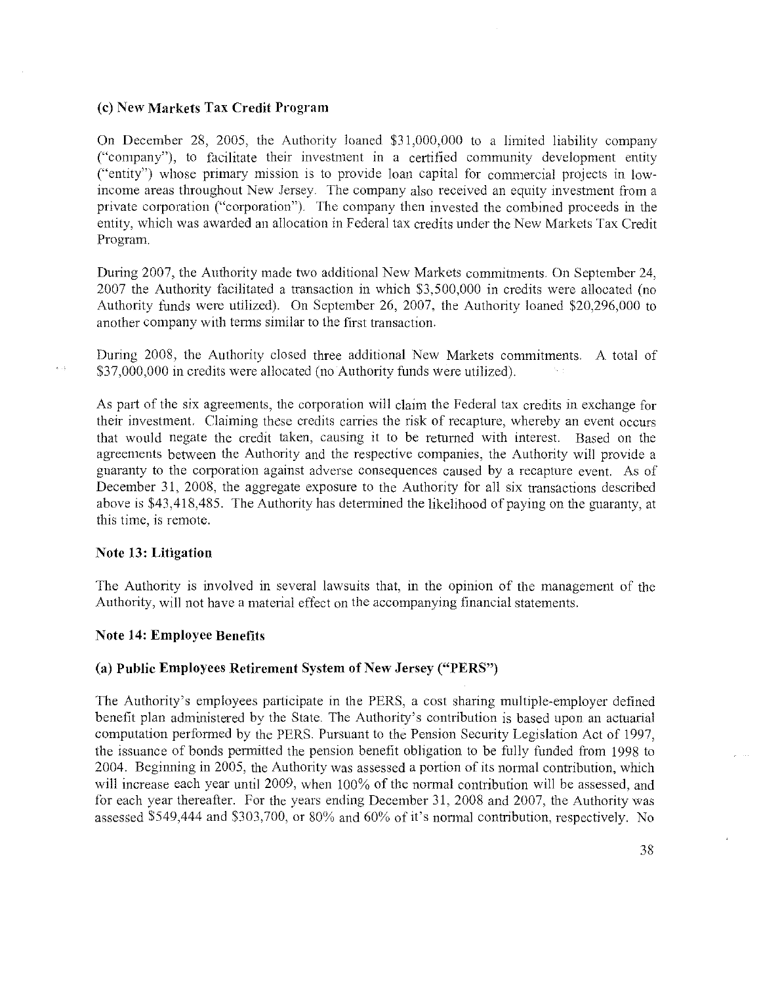### (c) New Markets Tax Credit Program

On December 28, 2005, the Authority loaned \$31,000,000 to a limited liability company ("company"), to facilitate their investment in a certified community development entity ("entity") whose primary mission is to provide loan capital for commercial projects in lowincome areas throughout New Jersey. The company also received an equity investment from a private corporation ("corporation"). The company then invested the combined proceeds in the entity, which was awarded an allocation in Federal tax credits under the New Markets Tax Credit Program.

During 2007, the Authority made two additional New Markets commitments. On September 24, 2007 the Authority facilitated a transaction in which \$3,500,000 in credits were allocated (no Authority funds were utilized). On September 26, 2007, the Authority loaned \$20,296,000 to another company with terms similar to the first transaction.

During 2008, the Authority closed three additional New Markets commitments. A total of \$37,000,000 in credits were allocated (no Authority funds were utilized).

As part of the six agreements, the corporation will claim the Federal tax credits in exchange for their investment. Claiming these credits carries the risk of recapture, whereby an event occurs that would negate the credit taken, causing it to be returned with interest. Based on the agreements between the Authority and the respective companies, the Authority will provide a gnaranty to the corporation against adverse consequences caused by a recapture event. As of December 31, 2008, the aggregate exposure to the Authority for all six transactions described above is \$43,418,485. The Authority has determined the likelihood of paying on the guaranty, at this time, is remote.

#### Note 13: Litigation

 $\hat{b}$  ,  $\hat{b}$ 

The Authority is involved in several lawsuits that, in the opinion of the management of the Authority, will not have a material effect on the accompanying financial statements.

#### Note 14: Employee Benefits

#### (a) Public Employees Retirement System of New Jersey ("PERS")

The Authority's employees participate in the PERS, a cost sharing multiple-employer defined benefit plan administered by the State. The Authority's contribution is based upon an actuarial computation performed by the PFRS. Pursuant to the Pension Security Legislation Act of 1997, the issuance of bonds permitted the pension benefit obligation to be fully flinded from 1998 to 2004. Beginning in 2005, the Authority was assessed a portion of its normal contribution, which will increase each year until 2009, when 100% of the normal contribution will be assessed, and for each year thereafter. For the years ending December 31, 2008 and 2007, the Authority was assessed \$549,444 and \$303,700, or 80% and 60% of it's normal contribution, respectively. No

38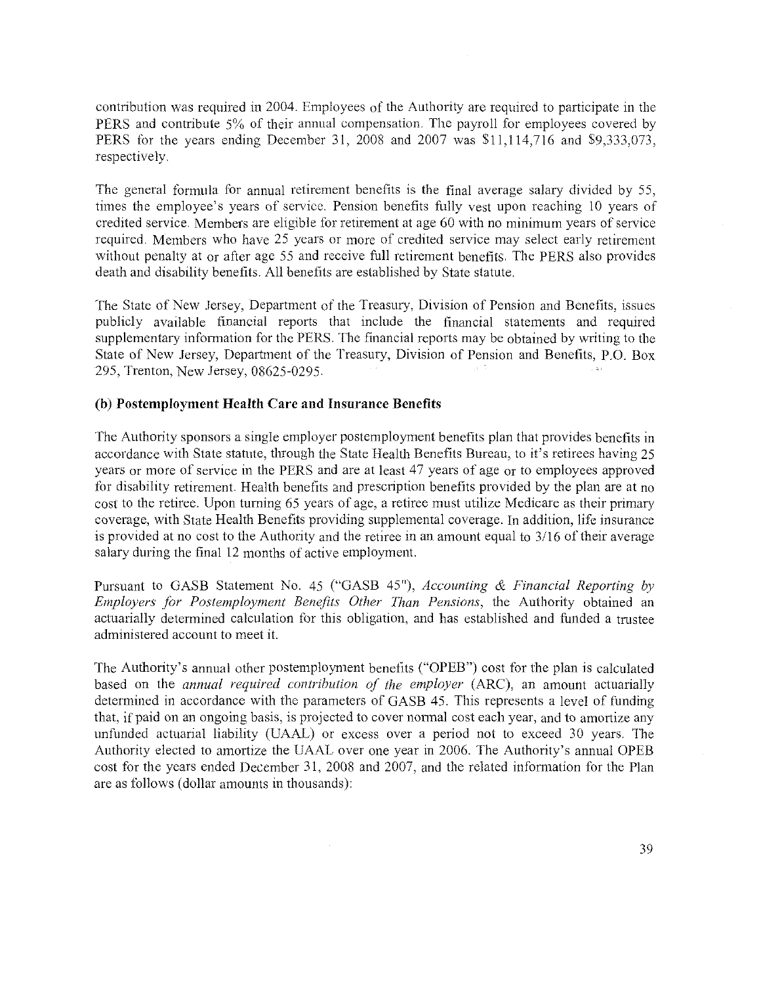contribution was required in 2004. Employees of the Authority are required to participate in the PERS and contribute 5% of their annual compensation. The payroll for employees covered by PERS for the years ending December 31, 2008 and 2007 was \$11,114,716 and \$9,333,073, respectively.

The general formula for annual retirement benefits is the final average salary divided by 55, times the employee's years of service. Pension benefits fully vest upon reaching 10 years of credited service. Members are eligible for retirement at age 60 with no minimum years of service required. Members who have 25 years or more of credited service may select early retirement without penalty at or after age 55 and receive full retirement benefits. The PERS also provides death and disability benefits. All benefits are established by State statute.

The State of New Jersey, Department of the Treasury, Division of Pension and Benefits, issues publicly available financial reports that include the financial statements and required supplementary information for the PERS. The financial reports may be obtained by writing to the State of New Jersey, Department of the Treasury, Division of Pension and Benefits, P.O. Box 295, Trenton, New Jersey, 08625-0295.

### (b) Postemployment Health Care and Insurance Benefits

The Authority sponsors a single employer postemployment benefits plan that provides benefits in accordance with State statute, through the State Health Benefits Bureau, to it's retirees having 25 years or more of service in the PERS and are at least 47 years of age or to employees approved for disability retirement. Health benefits and prescription benefits provided by the plan are at no cost to the retiree. Upon turning 65 years of age, a retiree must utilize Medicare as their primary coverage, with State Health Benefits providing supplemental coverage. In addition, fife insurance is provided at no cost to the Authority and the retiree in an amount equal to 3/16 of their average salary during the final 12 months of active employment.

Pursuant to GASB Statement No. 45 ("GASB 45"), Accounting & Financial Reporting by Employers for Postemployment Benefits Other Than Pensions, the Authority obtained an actuarially determined calculation for this obligation, and has established and funded a trustee administered account to meet it.

The Authority's annual other postemployment benefits ("OPEB") cost for the plan is calculated based on the annual required contribution of the employer (ARC), an amount actuarially determined in accordance with the parameters of GASB 45. This represents a level of funding that, if paid on an ongoing basis, is projected to cover normal cost each year, and to amortize any unfunded actuarial liability (UAAL) or excess over a period not to exceed 30 years. The Authority elected to amortize the UAAL over one year in 2006. The Authority's annual OPEB cost for the years ended December 31, 2008 and 2007, and the related information for the Plan are as follows (dollar amounts in thousands):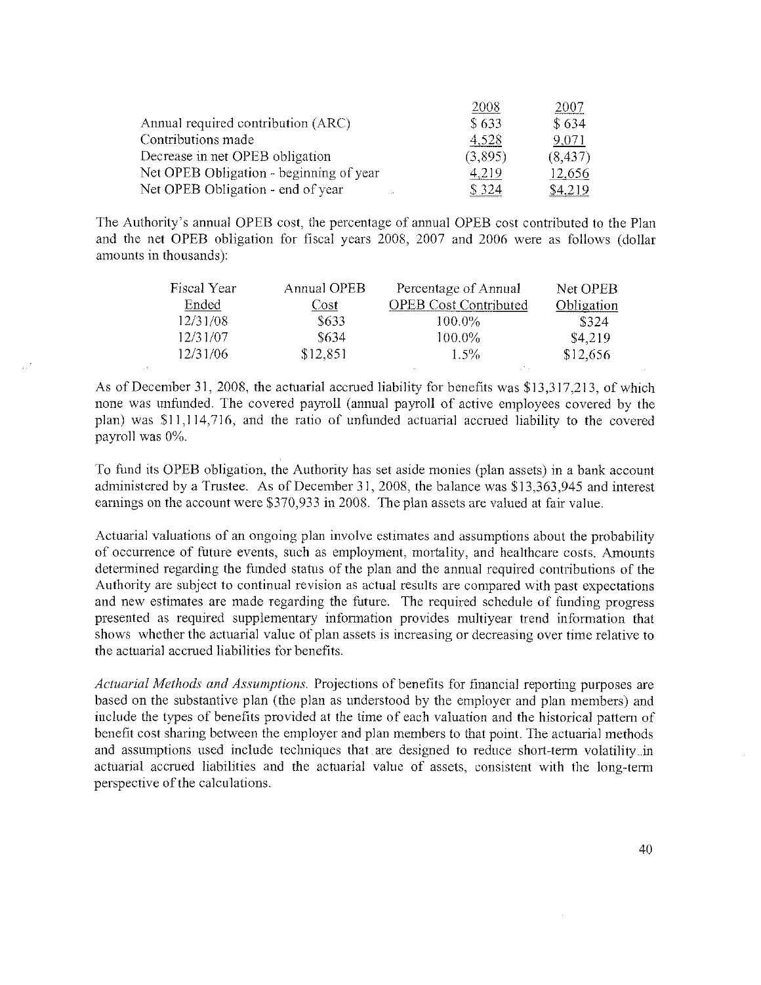|                                         | 2008    | 2007     |  |
|-----------------------------------------|---------|----------|--|
| Annual required contribution (ARC)      | \$633   | \$634    |  |
| Contributions made                      | 4,528   | 9,071    |  |
| Decrease in net OPEB obligation         | (3,895) | (8, 437) |  |
| Net OPEB Obligation - beginning of year | 4,219   | 12,656   |  |
| Net OPEB Obligation - end of year       | \$324   | \$4.219  |  |

The Authority's annual OPEB cost, the percentage of. annual OPEB cost contributed to the Plan and the net OPEB obligation for fiscal years 2008, 2007 and 2006 were as follows (dollar amounts in thousands):

| Fiscal Year | Annual OPEB | Percentage of Annual         | Net OPEB   |  |
|-------------|-------------|------------------------------|------------|--|
| Ended       | Cost        | <b>OPEB</b> Cost Contributed | Obligation |  |
| 12/31/08    | \$633       | $100.0\%$                    | \$324      |  |
| 12/31/07    | \$634       | $100.0\%$                    | \$4,219    |  |
| 12/31/06    | \$12,851    | $1.5\%$                      | \$12,656   |  |

As of December 31, 2008, the actuarial accrued liability for benefits was \$13,317,213, of which none was unfunded. The covered payroll (annual payroll of active employees covered by the plan) was \$11,114,716, and the ratio of unfunded actuarial accrued liability to the covered payroll was 0%.

To fund its OPEB obligation, the Authority has set aside monies (plan assets) in a bank account administered by a Trustee. As of December 31, 2008, the balance was \$13,363,945 and interest earnings on the account were \$370,933 in 2008. The plan assets are valued at fair value.

Actuarial valuations of an ongoing plan involve estimates and assumptions about the probability of occurrence of future events, such as employment, mortality, and healthcare costs. Amounts determined regarding the funded status of the plan and the annual required contributions of the Authority are subject to continual revision as actual results are compared with past expectations and new estimates are made regarding the future. The required schedule of finding progress presented as required supplementary information provides muitiyear trend information that shows whether the actuarial value of plan assets is increasing or decreasing over time relative to the actuarial accrued liabilities for benefits.

Actuarial Methods and Assumptions. Projections of benefits for financial reporting purposes are based on the substantive plan (the plan as understood by the employer and plan members) and include the types of benefits provided at the time of each valuation and the historical pattern of benefit cost sharing between the employer and plan members to that point. The actuarial methods and assumptions used include techniques that are designed to reduce short-term volatility in actuarial accrued liabilities and the actuarial value of assets, consistent with the long-term perspective of the calculations.

40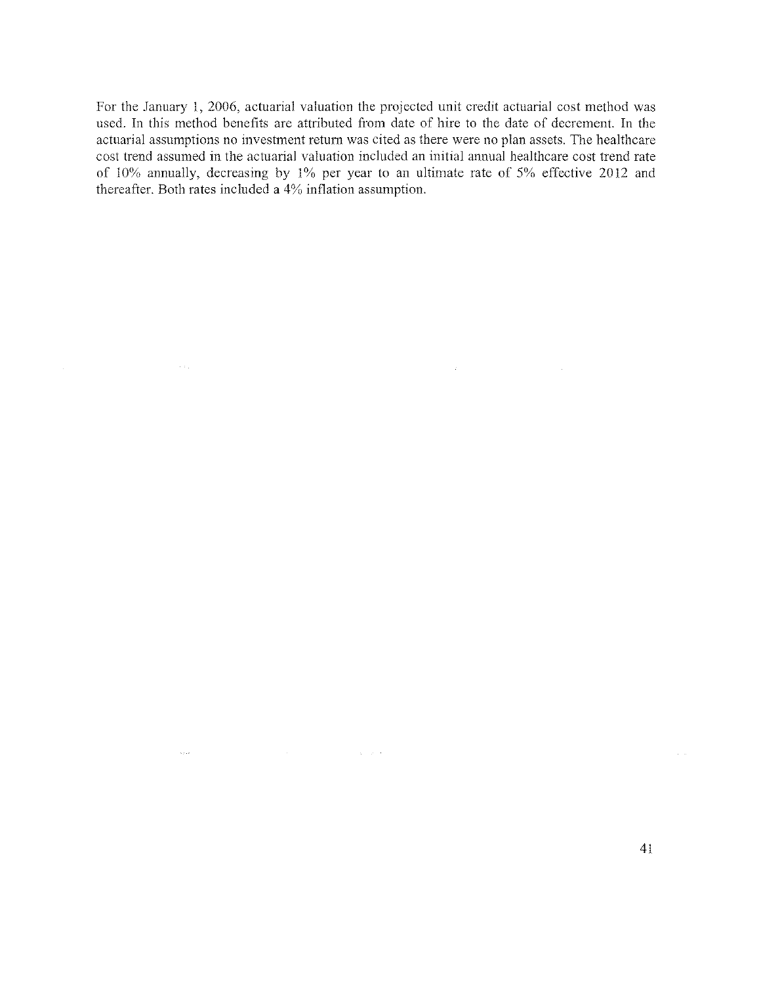For the January 1, 2006, actuarial valuation the projected unit credit actuarial cost method was used. In this method benefits are attributed from date of hire to the date of decrement. In the actuarial assumptions no investment return was cited as there were no plan assets. The healthcare cost trend assumed in the actuarial valuation included an initial annual healthcare cost trend rate of 10% annually, decreasing by 1% per year to an ultimate rate of 5% effective 2012 and thereafter. Both rates included a 4% inflation assumption.

 $\label{eq:1} \mathcal{A}=\mathcal{A}^{\dagger}+\mathcal{A}^{\dagger}+\mathcal{A}^{\dagger}+\mathcal{A}^{\dagger}+\mathcal{A}^{\dagger}+\mathcal{A}^{\dagger}+\mathcal{A}^{\dagger}+\mathcal{A}^{\dagger}+\mathcal{A}^{\dagger}+\mathcal{A}^{\dagger}+\mathcal{A}^{\dagger}+\mathcal{A}^{\dagger}+\mathcal{A}^{\dagger}+\mathcal{A}^{\dagger}+\mathcal{A}^{\dagger}+\mathcal{A}^{\dagger}+\mathcal{A}^{\dagger}+\mathcal{A}^{\dagger}+\mathcal{A}^{\d$ 

 $\sim 100$ 

 $\mathcal{A}^{\mathcal{A}}$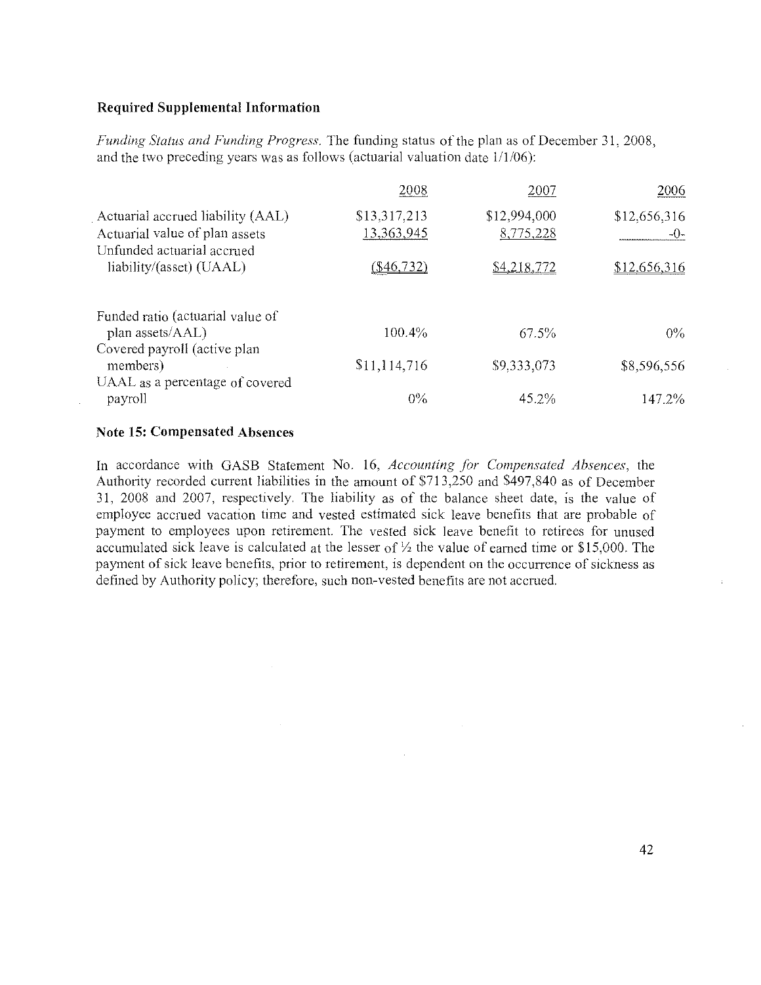### Required Supplemental Information

Funding Status and Funding Progress. The finding status of the plan as of December 31, 2008, and the two preceding years was as follows (actuarial valuation date 1/1/06):

|                                                              | 2008          | 2007         | 2006         |  |
|--------------------------------------------------------------|---------------|--------------|--------------|--|
| Actuarial accrued liability (AAL)                            | \$13,317,213  | \$12,994,000 | \$12.656.316 |  |
| Actuarial value of plan assets<br>Unfunded actuarial accrued | 13,363,945    | 8,775,228    | -0-          |  |
| liability/(asset) (UAAL)                                     | $($ \$46,732) | \$4,218,772  | \$12,656,316 |  |
| Funded ratio (actuarial value of                             |               |              |              |  |
| plan assets/AAL)                                             | 100.4%        | 67.5%        | $0\%$        |  |
| Covered payroll (active plan<br>members)                     | \$11,114,716  | \$9,333,073  | \$8,596,556  |  |
| UAAL as a percentage of covered<br>payroll                   | $0\%$         | 45.2%        | 147.2%       |  |

## Note 15: Compensated Absences

In accordance with GASB Statement No. 16, Accounting for Compensated Absences, the Authority recorded current liabilities in the amount of \$71 3,250 and \$497,840 as of December 31, 2008 and 2007, respectively. The liability as of the balance sheet date, is the value of employee accrued vacation time and vested estimated sick leave benefits that are probable of payment to employees upon retirement. The vested sick leave benefit to retirees for unused accumulated sick leave is calculated at the lesser of  $\frac{1}{2}$  the value of earned time or \$15,000. The payment of sick leave benefits, prior to retirement, is dependent on the occurrence of sickness as defined by Authority policy; therefore, such non-vested benefits are not accrued.

 $\bar{z}$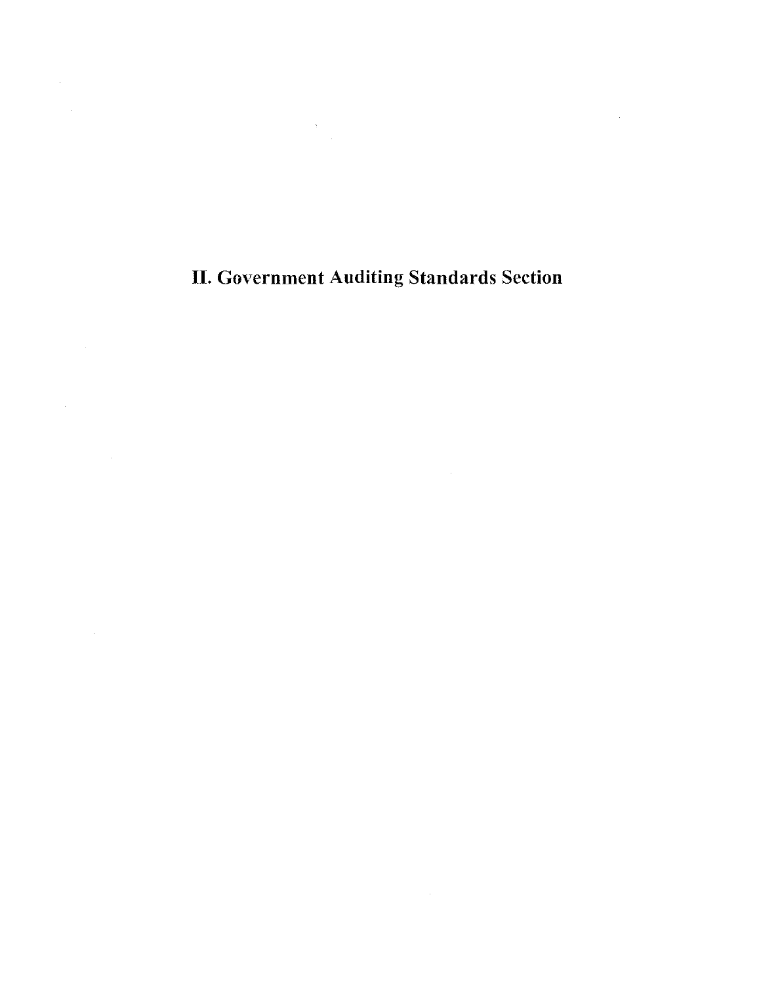II. Government Auditing Standards Section

 $\mathcal{L}^{\text{max}}_{\text{max}}$  and  $\mathcal{L}^{\text{max}}_{\text{max}}$ 

 $\mathcal{L}^{\text{max}}_{\text{max}}$ 

 $\mathcal{A}^{\mathcal{A}}$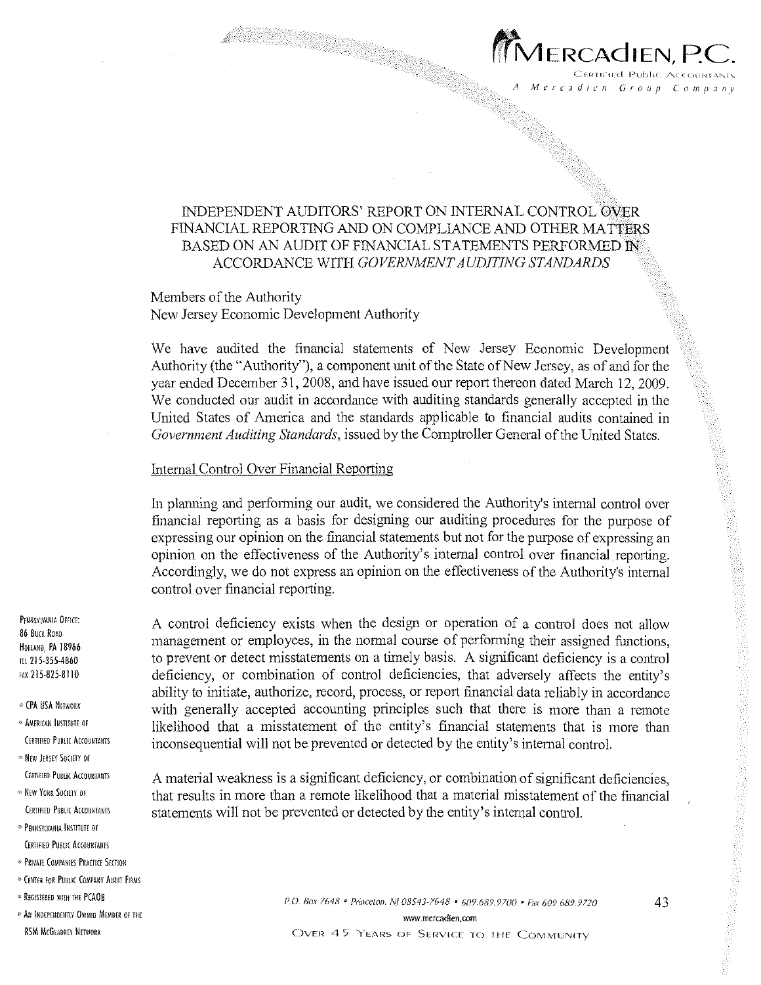

Mercadien Group Company

# INDEPENDENT AUDITORS' REPORT ON iNTERNAL CONTROL OVER FINANCIAL REPORTING AND ON COMPLIANCE AND OTHER MATTERS BASED ON AN AUDIT OF FINANCIAL STATEMENTS PERFORMED IN ACCORDANCE WITH GOVERNMENT AUDITING STANDARDS

## Members of the Authority New Jersey Economic Development Authority

We have audited the financial statements of New Jersey Economic Development Authority (the "Authority"), a component unit of the State of New Jersey, as of and for the year ended December 31, 2008, and have issued our report thereon dated March 12, 2009 We conducted our audit in accordance with auditing standards generally accepted in the United States of America and the standards applicable to financial audits contained in Government Auditing Standards, issued by the Comptroller General of the United States.

## Internal Control Over Financial Reporting

In planning and performing our audit, we considered the Authority's internal control over financial reporting as a basis for designing our auditing procedures for the purpose of expressing our opinion on the financial statements but not for the purpose of expressing an opinion on the effectiveness of the Authority's internal control over financial reporting. Accordingly, we do not express an opinion on the effectiveness of the Authority's internal control over financial reporting.

PENINSYLVANIA OFFICE: A control deficiency exists when the design or operation of a control does not allow management or employees, in the normal course of performing their assigned functions, HOLLAND, PA 18966<br>TEL 215.355-4860 to prevent or detect misstatements on a timely basis. A significant deficiency is a control AX 215-825-8110 deficiency, or combination of control deficiencies, that adversely affects the entity's ability to initiate, authorize, record, process, or report financial data reliably in accordance \* CPA USA NEWORK with generally accepted accounting principles such that there is more than a remote AMERICAN INSTITUTE OF likelihood that a misstatement of the entity's financial statements that is more than  $\frac{1}{2}$ inconsequential will not be prevented or detected by the entity's internal control.

CERTHED PUBLIC ACCOUNTANTS A material weakness is a significant deficiency, or combination of significant deficiencies, NEW YORK SOGETY OF that results in more than a remote likelihood that a material misstatement of the financial<br>CERTIFIED PUBLIC ACCOUNTANTS statements will not be prevented or detected by the entity's internal control statements will not be prevented or detected by the entity's internal control.

- 
- 
- \* NEW JERSEY SOCIETY OF
- 
- \* PENNSYLVANIA INSTITUTE OF CERTIFIED PUBLIC ACCOUNTANTS
- \* PRIVATE COMPANIES PRACTICE SECTION
- \* CENTER FOR PUBLIC COMPANY AUDIT FIRMS
- 
- 

REGISTERED WITH THE PCAOB<br>
P.O. Box 7648 • Princeton, NJ 08543-7648 • 609.689.9700 • Fax 609.689.9720 43<br>
which may material computer from computer from computer from computer from computer from computer from comput www.mercadien.com RSM MCGLADREY NETWORK **NEW ORE ALL STATE** COMMUNITY